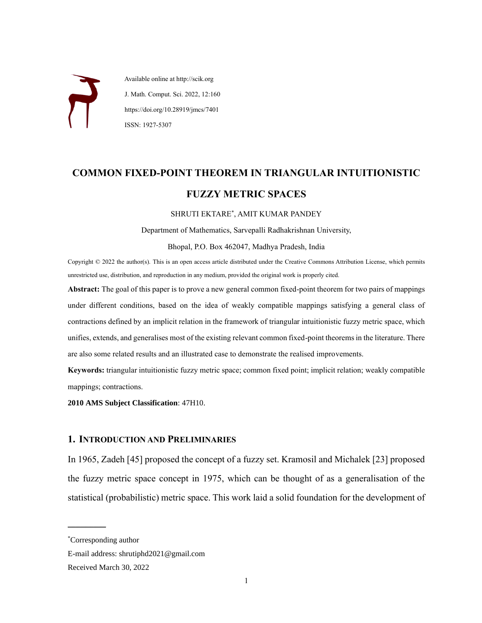

 Available online at http://scik.org J. Math. Comput. Sci. 2022, 12:160 https://doi.org/10.28919/jmcs/7401 ISSN: 1927-5307

# **COMMON FIXED-POINT THEOREM IN TRIANGULAR INTUITIONISTIC FUZZY METRIC SPACES**

SHRUTI EKTARE\* , AMIT KUMAR PANDEY

Department of Mathematics, Sarvepalli Radhakrishnan University,

Bhopal, P.O. Box 462047, Madhya Pradesh, India

Copyright © 2022 the author(s). This is an open access article distributed under the Creative Commons Attribution License, which permits unrestricted use, distribution, and reproduction in any medium, provided the original work is properly cited.

**Abstract:** The goal of this paper is to prove a new general common fixed-point theorem for two pairs of mappings under different conditions, based on the idea of weakly compatible mappings satisfying a general class of contractions defined by an implicit relation in the framework of triangular intuitionistic fuzzy metric space, which unifies, extends, and generalises most of the existing relevant common fixed-point theorems in the literature. There are also some related results and an illustrated case to demonstrate the realised improvements.

**Keywords:** triangular intuitionistic fuzzy metric space; common fixed point; implicit relation; weakly compatible mappings; contractions.

**2010 AMS Subject Classification**: 47H10.

## **1. INTRODUCTION AND PRELIMINARIES**

In 1965, Zadeh [45] proposed the concept of a fuzzy set. Kramosil and Michalek [23] proposed the fuzzy metric space concept in 1975, which can be thought of as a generalisation of the statistical (probabilistic) metric space. This work laid a solid foundation for the development of

 $\overline{\phantom{a}}$  , where the contract of the contract of the contract of the contract of the contract of the contract of the contract of the contract of the contract of the contract of the contract of the contract of the contr

<sup>\*</sup>Corresponding author

E-mail address: shrutiphd2021@gmail.com

Received March 30, 2022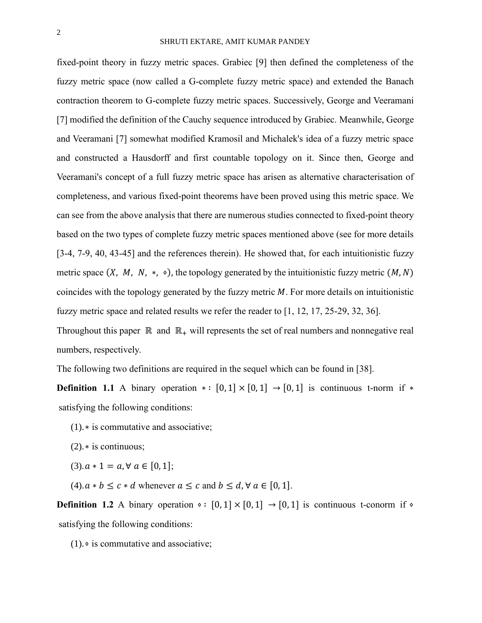fixed-point theory in fuzzy metric spaces. Grabiec [9] then defined the completeness of the fuzzy metric space (now called a G-complete fuzzy metric space) and extended the Banach contraction theorem to G-complete fuzzy metric spaces. Successively, George and Veeramani [7] modified the definition of the Cauchy sequence introduced by Grabiec. Meanwhile, George and Veeramani [7] somewhat modified Kramosil and Michalek's idea of a fuzzy metric space and constructed a Hausdorff and first countable topology on it. Since then, George and Veeramani's concept of a full fuzzy metric space has arisen as alternative characterisation of completeness, and various fixed-point theorems have been proved using this metric space. We can see from the above analysis that there are numerous studies connected to fixed-point theory based on the two types of complete fuzzy metric spaces mentioned above (see for more details [3-4, 7-9, 40, 43-45] and the references therein). He showed that, for each intuitionistic fuzzy metric space  $(X, M, N, *, \diamond)$ , the topology generated by the intuitionistic fuzzy metric  $(M, N)$ coincides with the topology generated by the fuzzy metric  $M$ . For more details on intuitionistic fuzzy metric space and related results we refer the reader to [1, 12, 17, 25-29, 32, 36]. Throughout this paper  $\mathbb R$  and  $\mathbb R_+$  will represents the set of real numbers and nonnegative real

numbers, respectively.

The following two definitions are required in the sequel which can be found in [38].

**Definition 1.1** A binary operation  $* : [0,1] \times [0,1] \rightarrow [0,1]$  is continuous t-norm if  $*$ satisfying the following conditions:

(1).∗ is commutative and associative;

- (2).∗ is continuous;
- $(3).a * 1 = a, \forall a \in [0, 1];$

(4).  $a * b \leq c * d$  whenever  $a \leq c$  and  $b \leq d$ ,  $\forall a \in [0, 1]$ .

**Definition 1.2** A binary operation  $\circ : [0,1] \times [0,1] \rightarrow [0,1]$  is continuous t-conorm if  $\circ$ satisfying the following conditions:

(1).⋄ is commutative and associative;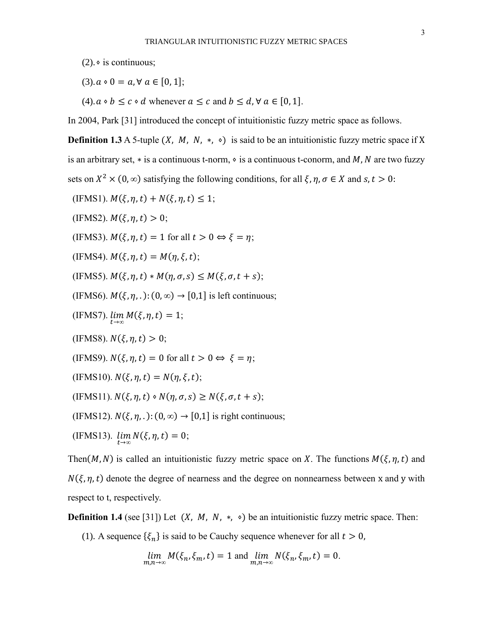- (2).  $\circ$  is continuous:
- $(3).a \cdot 0 = a, \forall a \in [0,1];$
- (4).  $a \circ b \leq c \circ d$  whenever  $a \leq c$  and  $b \leq d$ ,  $\forall a \in [0, 1]$ .

In 2004, Park [31] introduced the concept of intuitionistic fuzzy metric space as follows.

**Definition 1.3** A 5-tuple  $(X, M, N, *)$  is said to be an intuitionistic fuzzy metric space if X is an arbitrary set,  $*$  is a continuous t-norm,  $\circ$  is a continuous t-conorm, and M, N are two fuzzy sets on  $X^2 \times (0, \infty)$  satisfying the following conditions, for all  $\xi, \eta, \sigma \in X$  and  $s, t > 0$ :

- $(IFMS1)$ .  $M(\xi, \eta, t) + N(\xi, \eta, t) \leq 1$ ;
- (IFMS2).  $M(\xi, \eta, t) > 0$ ;
- (IFMS3).  $M(\xi, \eta, t) = 1$  for all  $t > 0 \Leftrightarrow \xi = \eta$ ;

(IFMS4).  $M(\xi, \eta, t) = M(\eta, \xi, t);$ 

(IFMS5).  $M(\xi, \eta, t) * M(\eta, \sigma, s) \leq M(\xi, \sigma, t + s);$ 

- (IFMS6).  $M(\xi, \eta, .)$ :  $(0, \infty) \rightarrow [0, 1]$  is left continuous;
- (IFMS7).  $\lim_{t \to \infty} M(\xi, \eta, t) = 1;$
- (IFMS8).  $N(\xi, \eta, t) > 0$ ;
- (IFMS9).  $N(\xi, \eta, t) = 0$  for all  $t > 0 \Leftrightarrow \xi = \eta$ ;
- (IFMS10).  $N(\xi, \eta, t) = N(\eta, \xi, t);$

(IFMS11).  $N(\xi, \eta, t) \circ N(\eta, \sigma, s) \ge N(\xi, \sigma, t + s);$ 

(IFMS12).  $N(\xi, \eta, ...)$ :  $(0, \infty) \rightarrow [0, 1]$  is right continuous;

(IFMS13). 
$$
\lim_{t\to\infty} N(\xi, \eta, t) = 0;
$$

Then(M, N) is called an intuitionistic fuzzy metric space on X. The functions  $M(\xi, \eta, t)$  and  $N(\xi, \eta, t)$  denote the degree of nearness and the degree on nonnearness between x and y with respect to t, respectively.

**Definition 1.4** (see [31]) Let  $(X, M, N, *, \diamond)$  be an intuitionistic fuzzy metric space. Then:

(1). A sequence  $\{\xi_n\}$  is said to be Cauchy sequence whenever for all  $t > 0$ ,

$$
\lim_{m,n\to\infty}M(\xi_n,\xi_m,t)=1\text{ and }\lim_{m,n\to\infty}N(\xi_n,\xi_m,t)=0.
$$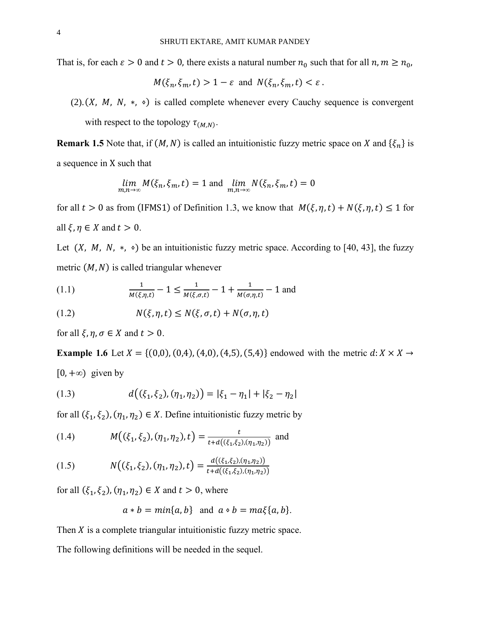That is, for each  $\varepsilon > 0$  and  $t > 0$ , there exists a natural number  $n_0$  such that for all  $n, m \ge n_0$ ,

$$
M(\xi_n, \xi_m, t) > 1 - \varepsilon
$$
 and  $N(\xi_n, \xi_m, t) < \varepsilon$ .

(2). $(X, M, N, *, \diamond)$  is called complete whenever every Cauchy sequence is convergent

with respect to the topology  $\tau_{(M,N)}$ .

**Remark 1.5** Note that, if  $(M, N)$  is called an intuitionistic fuzzy metric space on X and  $\{\xi_n\}$  is a sequence in X such that

$$
\lim_{m,n\to\infty} M(\xi_n, \xi_m, t) = 1 \text{ and } \lim_{m,n\to\infty} N(\xi_n, \xi_m, t) = 0
$$

for all  $t > 0$  as from (IFMS1) of Definition 1.3, we know that  $M(\xi, \eta, t) + N(\xi, \eta, t) \le 1$  for all  $\xi, \eta \in X$  and  $t > 0$ .

Let  $(X, M, N, *$ ,  $\circ)$  be an intuitionistic fuzzy metric space. According to [40, 43], the fuzzy metric  $(M, N)$  is called triangular whenever

(1.1) 
$$
\frac{1}{M(\xi,\eta,t)} - 1 \le \frac{1}{M(\xi,\sigma,t)} - 1 + \frac{1}{M(\sigma,\eta,t)} - 1
$$
 and

(1.2) 
$$
N(\xi, \eta, t) \le N(\xi, \sigma, t) + N(\sigma, \eta, t)
$$

for all  $\xi$ ,  $\eta$ ,  $\sigma \in X$  and  $t > 0$ .

**Example 1.6** Let  $X = \{(0,0), (0,4), (4,0), (4,5), (5,4)\}$  endowed with the metric  $d: X \times X \rightarrow$ [0, +*∞*) given by

(1.3) 
$$
d((\xi_1, \xi_2), (\eta_1, \eta_2)) = |\xi_1 - \eta_1| + |\xi_2 - \eta_2|
$$

for all  $(\xi_1, \xi_2)$ ,  $(\eta_1, \eta_2) \in X$ . Define intuitionistic fuzzy metric by

(1.4) 
$$
M((\xi_1, \xi_2), (\eta_1, \eta_2), t) = \frac{t}{t + d((\xi_1, \xi_2), (\eta_1, \eta_2))}
$$
 and

(1.5) 
$$
N((\xi_1, \xi_2), (\eta_1, \eta_2), t) = \frac{d((\xi_1, \xi_2), (\eta_1, \eta_2))}{t + d((\xi_1, \xi_2), (\eta_1, \eta_2))}
$$

for all  $(\xi_1, \xi_2), (\eta_1, \eta_2) \in X$  and  $t > 0$ , where

$$
a * b = min\{a, b\}
$$
 and  $a \circ b = ma\xi\{a, b\}$ .

Then  $X$  is a complete triangular intuitionistic fuzzy metric space.

The following definitions will be needed in the sequel.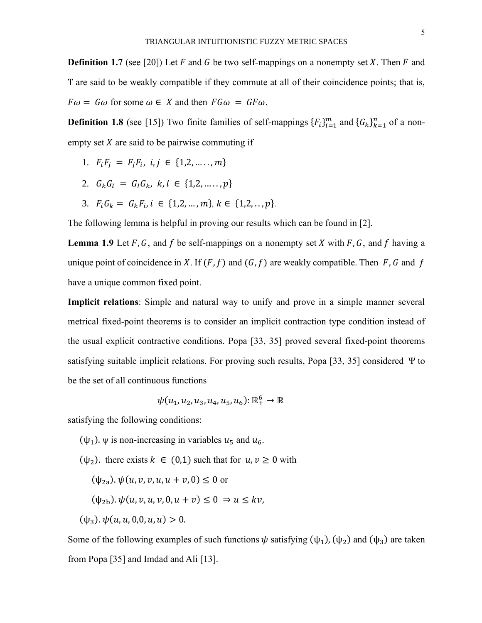5

**Definition 1.7** (see [20]) Let  $F$  and  $G$  be two self-mappings on a nonempty set  $X$ . Then  $F$  and T are said to be weakly compatible if they commute at all of their coincidence points; that is,  $F\omega = G\omega$  for some  $\omega \in X$  and then  $FG\omega = GF\omega$ .

**Definition 1.8** (see [15]) Two finite families of self-mappings  ${F_i}_{i=1}^m$  and  ${G_k}_{k=1}^n$  of a nonempty set  $X$  are said to be pairwise commuting if

- 1.  $F_i F_j = F_j F_i, i, j \in \{1, 2, ..., m\}$
- 2.  $G_k G_l = G_l G_k, k, l \in \{1, 2, ..., p\}$
- 3.  $F_i G_k = G_k F_i, i \in \{1, 2, ..., m\}, k \in \{1, 2, ..., p\}.$

The following lemma is helpful in proving our results which can be found in [2].

**Lemma 1.9** Let F, G, and f be self-mappings on a nonempty set X with F, G, and f having a unique point of coincidence in X. If  $(F, f)$  and  $(G, f)$  are weakly compatible. Then F, G and f have a unique common fixed point.

**Implicit relations**: Simple and natural way to unify and prove in a simple manner several metrical fixed-point theorems is to consider an implicit contraction type condition instead of the usual explicit contractive conditions. Popa [33, 35] proved several fixed-point theorems satisfying suitable implicit relations. For proving such results, Popa [33, 35] considered Ψ to be the set of all continuous functions

$$
\psi(u_1,u_2,u_3,u_4,u_5,u_6)\!:\mathbb{R}_+^6\to\mathbb{R}
$$

satisfying the following conditions:

- $(\psi_1)$ .  $\psi$  is non-increasing in variables  $u_5$  and  $u_6$ .
- $(\psi_2)$ . there exists  $k \in (0,1)$  such that for  $u, v \ge 0$  with
	- $(\psi_{2a})$ .  $\psi(u, v, v, u, u + v, 0) \leq 0$  or

$$
(\psi_{2b}), \psi(u, v, u, v, 0, u + v) \leq 0 \Rightarrow u \leq kv,
$$

 $(\psi_3)$ .  $\psi(u, u, 0, 0, u, u) > 0$ .

Some of the following examples of such functions  $\psi$  satisfying  $(\psi_1)$ ,  $(\psi_2)$  and  $(\psi_3)$  are taken from Popa [35] and Imdad and Ali [13].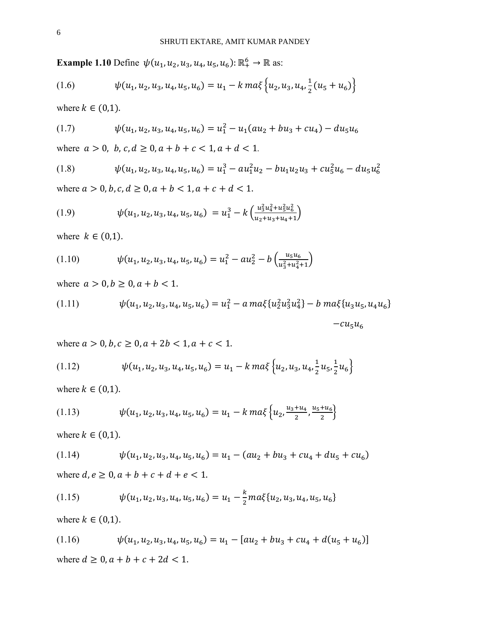**Example 1.10** Define  $\psi(u_1, u_2, u_3, u_4, u_5, u_6)$ :  $\mathbb{R}^6_+ \to \mathbb{R}$  as:

$$
(1.6) \qquad \psi(u_1, u_2, u_3, u_4, u_5, u_6) = u_1 - k \, ma \, \left\{ u_2, u_3, u_4, \frac{1}{2} (u_5 + u_6) \right\}
$$

where  $k \in (0,1)$ .

(1.7) 
$$
\psi(u_1, u_2, u_3, u_4, u_5, u_6) = u_1^2 - u_1(au_2 + bu_3 + cu_4) - du_5u_6
$$

where  $a > 0$ ,  $b, c, d \ge 0$ ,  $a + b + c < 1$ ,  $a + d < 1$ .

(1.8) 
$$
\psi(u_1, u_2, u_3, u_4, u_5, u_6) = u_1^3 - a u_1^2 u_2 - b u_1 u_2 u_3 + c u_5^2 u_6 - d u_5 u_6^2
$$

where  $a > 0, b, c, d \ge 0, a + b < 1, a + c + d < 1$ .

(1.9) 
$$
\psi(u_1, u_2, u_3, u_4, u_5, u_6) = u_1^3 - k \left( \frac{u_3^2 u_4^2 + u_5^2 u_6^2}{u_2 + u_3 + u_4 + 1} \right)
$$

where  $k \in (0,1)$ .

(1.10) 
$$
\psi(u_1, u_2, u_3, u_4, u_5, u_6) = u_1^2 - au_2^2 - b\left(\frac{u_5 u_6}{u_3^2 + u_4^2 + 1}\right)
$$

where  $a > 0, b \ge 0, a + b < 1$ .

(1.11) 
$$
\psi(u_1, u_2, u_3, u_4, u_5, u_6) = u_1^2 - a \max\{u_2^2 u_3^2 u_4^2\} - b \max\{u_3 u_5, u_4 u_6\} - c u_5 u_6
$$

where  $a > 0$ ,  $b, c \ge 0$ ,  $a + 2b < 1$ ,  $a + c < 1$ .

$$
(1.12) \qquad \psi(u_1, u_2, u_3, u_4, u_5, u_6) = u_1 - k \max \left\{ u_2, u_3, u_4, \frac{1}{2} u_5, \frac{1}{2} u_6 \right\}
$$

where  $k \in (0,1)$ .

(1.13) 
$$
\psi(u_1, u_2, u_3, u_4, u_5, u_6) = u_1 - k \max \left\{ u_2, \frac{u_3 + u_4}{2}, \frac{u_5 + u_6}{2} \right\}
$$

where  $k \in (0,1)$ .

(1.14) 
$$
\psi(u_1, u_2, u_3, u_4, u_5, u_6) = u_1 - (au_2 + bu_3 + cu_4 + du_5 + cu_6)
$$
  
where  $d, e \ge 0, a + b + c + d + e < 1$ .

(1.15) 
$$
\psi(u_1, u_2, u_3, u_4, u_5, u_6) = u_1 - \frac{k}{2} m a \xi(u_2, u_3, u_4, u_5, u_6)
$$

where  $k \in (0,1)$ .

$$
(1.16) \quad \psi(u_1, u_2, u_3, u_4, u_5, u_6) = u_1 - [au_2 + bu_3 + cu_4 + d(u_5 + u_6)]
$$
  
where  $d \ge 0, a + b + c + 2d < 1$ .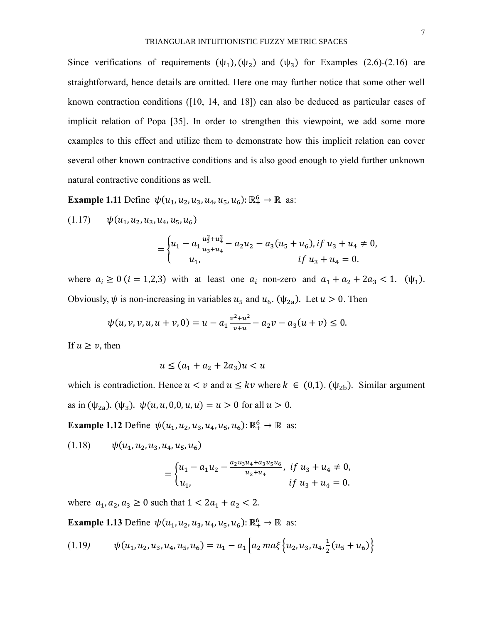Since verifications of requirements  $(\psi_1)$ ,  $(\psi_2)$  and  $(\psi_3)$  for Examples (2.6)-(2.16) are straightforward, hence details are omitted. Here one may further notice that some other well known contraction conditions ([10, 14, and 18]) can also be deduced as particular cases of implicit relation of Popa [35]. In order to strengthen this viewpoint, we add some more examples to this effect and utilize them to demonstrate how this implicit relation can cover several other known contractive conditions and is also good enough to yield further unknown natural contractive conditions as well.

**Example 1.11** Define  $\psi(u_1, u_2, u_3, u_4, u_5, u_6)$ :  $\mathbb{R}^6_+ \to \mathbb{R}$  as:

 $(1.17) \quad \psi(u_1, u_2, u_3, u_4, u_5, u_6)$ 

$$
= \begin{cases} u_1 - a_1 \frac{u_3^2 + u_4^2}{u_3 + u_4} - a_2 u_2 - a_3 (u_5 + u_6), if u_3 + u_4 \neq 0, \\ u_1, & if u_3 + u_4 = 0. \end{cases}
$$

where  $a_i \ge 0$  ( $i = 1,2,3$ ) with at least one  $a_i$  non-zero and  $a_1 + a_2 + 2a_3 < 1$ . ( $\psi_1$ ). Obviously,  $\psi$  is non-increasing in variables  $u_5$  and  $u_6$ . ( $\psi_{2a}$ ). Let  $u > 0$ . Then

$$
\psi(u, v, v, u, u + v, 0) = u - a_1 \frac{v^2 + u^2}{v + u} - a_2 v - a_3 (u + v) \le 0.
$$

If  $u \geq v$ , then

$$
u \le (a_1 + a_2 + 2a_3)u < u
$$

which is contradiction. Hence  $u < v$  and  $u \le kv$  where  $k \in (0,1)$ . ( $\psi_{2b}$ ). Similar argument as in  $(\psi_{2a})$ .  $(\psi_3)$ .  $\psi(u, u, 0, 0, u, u) = u > 0$  for all  $u > 0$ .

**Example 1.12** Define  $\psi(u_1, u_2, u_3, u_4, u_5, u_6)$ :  $\mathbb{R}^6_+ \to \mathbb{R}$  as:

 $(1.18) \qquad \psi(u_1, u_2, u_3, u_4, u_5, u_6)$ 

$$
= \begin{cases} u_1 - a_1 u_2 - \frac{a_2 u_3 u_4 + a_3 u_5 u_6}{u_3 + u_4}, & \text{if } u_3 + u_4 \neq 0, \\ u_1, & \text{if } u_3 + u_4 = 0. \end{cases}
$$

where  $a_1, a_2, a_3 \ge 0$  such that  $1 < 2a_1 + a_2 < 2$ .

**Example 1.13** Define  $\psi(u_1, u_2, u_3, u_4, u_5, u_6)$ :  $\mathbb{R}^6_+ \to \mathbb{R}$  as:

$$
(1.19) \qquad \psi(u_1, u_2, u_3, u_4, u_5, u_6) = u_1 - a_1 \left[ a_2 \max \left\{ u_2, u_3, u_4, \frac{1}{2} (u_5 + u_6) \right\} \right]
$$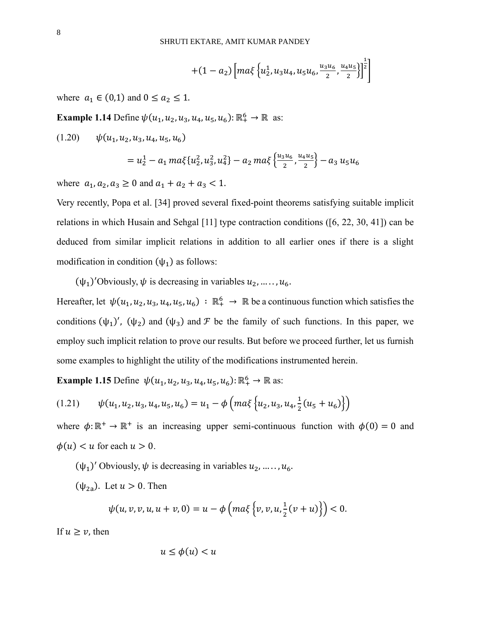$$
+(1-a_2)\left[ma\xi\left\{u_2^1,u_3u_4,u_5u_6,\frac{u_3u_6}{2},\frac{u_4u_5}{2}\right\}\right]^{\frac{1}{2}}
$$

where  $a_1 \in (0,1)$  and  $0 \le a_2 \le 1$ .

**Example 1.14** Define  $\psi(u_1, u_2, u_3, u_4, u_5, u_6)$ :  $\mathbb{R}^6_+ \to \mathbb{R}$  as:

$$
(1.20) \quad \psi(u_1, u_2, u_3, u_4, u_5, u_6)
$$
  
=  $u_2^1 - a_1 \max\{u_2^2, u_3^2, u_4^2\} - a_2 \max\{\frac{u_3 u_6}{2}, \frac{u_4 u_5}{2}\} - a_3 u_5 u_6$ 

where  $a_1, a_2, a_3 \ge 0$  and  $a_1 + a_2 + a_3 < 1$ .

Very recently, Popa et al. [34] proved several fixed-point theorems satisfying suitable implicit relations in which Husain and Sehgal [11] type contraction conditions ([6, 22, 30, 41]) can be deduced from similar implicit relations in addition to all earlier ones if there is a slight modification in condition  $(\psi_1)$  as follows:

 $(\psi_1)'$ Obviously,  $\psi$  is decreasing in variables  $u_2, \ldots, u_6$ .

Hereafter, let  $\psi(u_1, u_2, u_3, u_4, u_5, u_6) : \mathbb{R}^6_+ \to \mathbb{R}$  be a continuous function which satisfies the conditions  $(\psi_1)'$ ,  $(\psi_2)$  and  $(\psi_3)$  and  $\mathcal F$  be the family of such functions. In this paper, we employ such implicit relation to prove our results. But before we proceed further, let us furnish some examples to highlight the utility of the modifications instrumented herein.

**Example 1.15** Define  $\psi(u_1, u_2, u_3, u_4, u_5, u_6)$ :  $\mathbb{R}^6_+ \to \mathbb{R}$  as:

$$
(1.21) \qquad \psi(u_1, u_2, u_3, u_4, u_5, u_6) = u_1 - \phi\left(m a \xi \left\{u_2, u_3, u_4, \frac{1}{2}(u_5 + u_6)\right\}\right)
$$

where  $\phi: \mathbb{R}^+ \to \mathbb{R}^+$  is an increasing upper semi-continuous function with  $\phi(0) = 0$  and  $\phi(u) < u$  for each  $u > 0$ .

 $(\psi_1)'$  Obviously,  $\psi$  is decreasing in variables  $u_2, \ldots, u_6$ .

 $(\psi_{2a})$ . Let  $u > 0$ . Then

$$
\psi(u, v, v, u, u + v, 0) = u - \phi\left(m a \xi\left\{v, v, u, \frac{1}{2}(v + u)\right\}\right) < 0.
$$

If  $u \ge v$ , then

$$
u \le \phi(u) < u
$$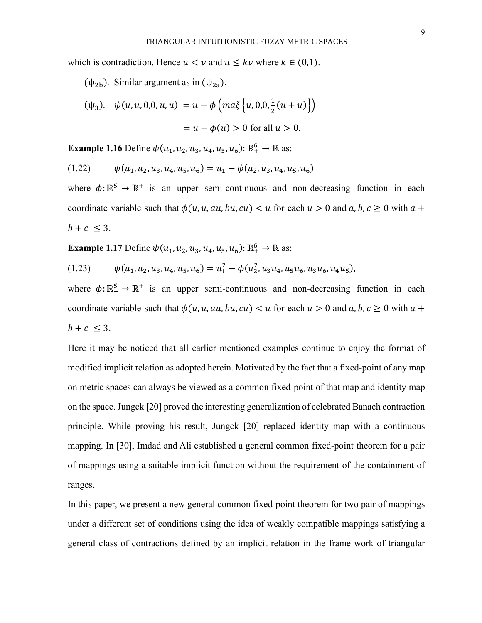which is contradiction. Hence  $u < v$  and  $u \le kv$  where  $k \in (0,1)$ .

( $\psi_{2b}$ ). Similar argument as in ( $\psi_{2a}$ ).

$$
(\psi_3). \quad \psi(u, u, 0, 0, u, u) = u - \phi \left( ma \xi \left\{ u, 0, 0, \frac{1}{2} (u + u) \right\} \right)
$$

$$
= u - \phi(u) > 0 \text{ for all } u > 0.
$$

**Example 1.16** Define  $\psi(u_1, u_2, u_3, u_4, u_5, u_6)$ :  $\mathbb{R}^6_+ \to \mathbb{R}$  as:

$$
(1.22) \qquad \psi(u_1, u_2, u_3, u_4, u_5, u_6) = u_1 - \phi(u_2, u_3, u_4, u_5, u_6)
$$

where  $\phi: \mathbb{R}^5_+ \to \mathbb{R}^+$  is an upper semi-continuous and non-decreasing function in each coordinate variable such that  $\phi(u, u, au, bu, cu) < u$  for each  $u > 0$  and  $a, b, c \ge 0$  with  $a +$  $b + c \leq 3$ .

**Example 1.17** Define  $\psi(u_1, u_2, u_3, u_4, u_5, u_6)$ :  $\mathbb{R}^6_+ \to \mathbb{R}$  as:

$$
(1.23) \qquad \psi(u_1, u_2, u_3, u_4, u_5, u_6) = u_1^2 - \phi(u_2^2, u_3 u_4, u_5 u_6, u_3 u_6, u_4 u_5),
$$

where  $\phi: \mathbb{R}^5_+ \to \mathbb{R}^+$  is an upper semi-continuous and non-decreasing function in each coordinate variable such that  $\phi(u, u, au, bu, cu) < u$  for each  $u > 0$  and  $a, b, c \ge 0$  with  $a +$  $b + c \leq 3$ .

Here it may be noticed that all earlier mentioned examples continue to enjoy the format of modified implicit relation as adopted herein. Motivated by the fact that a fixed-point of any map on metric spaces can always be viewed as a common fixed-point of that map and identity map on the space. Jungck [20] proved the interesting generalization of celebrated Banach contraction principle. While proving his result, Jungck [20] replaced identity map with a continuous mapping. In [30], Imdad and Ali established a general common fixed-point theorem for a pair of mappings using a suitable implicit function without the requirement of the containment of ranges.

In this paper, we present a new general common fixed-point theorem for two pair of mappings under a different set of conditions using the idea of weakly compatible mappings satisfying a general class of contractions defined by an implicit relation in the frame work of triangular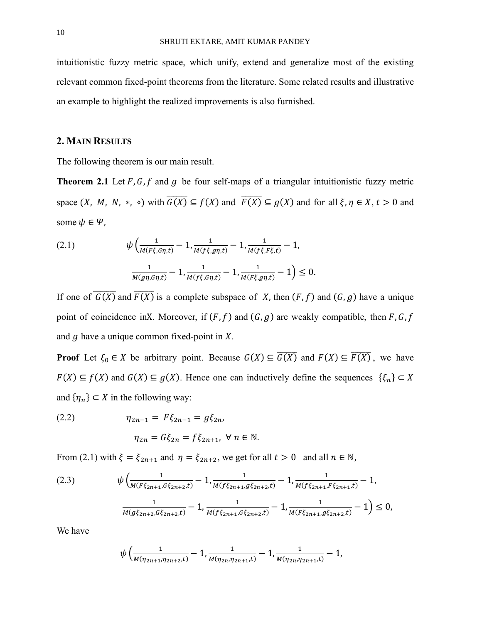intuitionistic fuzzy metric space, which unify, extend and generalize most of the existing relevant common fixed-point theorems from the literature. Some related results and illustrative an example to highlight the realized improvements is also furnished.

## **2. MAIN RESULTS**

The following theorem is our main result.

**Theorem 2.1** Let  $F$ ,  $G$ ,  $f$  and  $g$  be four self-maps of a triangular intuitionistic fuzzy metric space  $(X, M, N, *, \cdot)$  with  $\overline{G(X)} \subseteq f(X)$  and  $\overline{F(X)} \subseteq g(X)$  and for all  $\xi, \eta \in X, t > 0$  and some  $\psi \in \Psi$ ,

(2.1) 
$$
\psi \left( \frac{1}{M(F\xi, G\eta, t)} - 1, \frac{1}{M(f\xi, g\eta, t)} - 1, \frac{1}{M(f\xi, F\xi, t)} - 1, \frac{1}{M(g\eta, G\eta, t)} - 1, \frac{1}{M(f\xi, G\eta, t)} - 1, \frac{1}{M(F\xi, g\eta, t)} - 1 \right) \leq 0.
$$

If one of  $\overline{G(X)}$  and  $\overline{F(X)}$  is a complete subspace of X, then  $(F, f)$  and  $(G, g)$  have a unique point of coincidence inX. Moreover, if  $(F, f)$  and  $(G, g)$  are weakly compatible, then F, G, f and  $q$  have a unique common fixed-point in  $X$ .

**Proof** Let  $\xi_0 \in X$  be arbitrary point. Because  $G(X) \subseteq \overline{G(X)}$  and  $F(X) \subseteq \overline{F(X)}$ , we have  $F(X) \subseteq f(X)$  and  $G(X) \subseteq g(X)$ . Hence one can inductively define the sequences  $\{\xi_n\} \subset X$ and  $\{\eta_n\} \subset X$  in the following way:

(2.2) 
$$
\eta_{2n-1} = F\xi_{2n-1} = g\xi_{2n},
$$

$$
\eta_{2n} = G\xi_{2n} = f\xi_{2n+1}, \forall n \in \mathbb{N}.
$$

From (2.1) with  $\xi = \xi_{2n+1}$  and  $\eta = \xi_{2n+2}$ , we get for all  $t > 0$  and all  $n \in \mathbb{N}$ ,

$$
(2.3) \qquad \psi\left(\frac{1}{M(F\xi_{2n+1}, G\xi_{2n+2}, t)} - 1, \frac{1}{M(f\xi_{2n+1}, g\xi_{2n+2}, t)} - 1, \frac{1}{M(f\xi_{2n+1}, F\xi_{2n+1}, t)} - 1, \frac{1}{M(g\xi_{2n+2}, G\xi_{2n+2}, t)} - 1, \frac{1}{M(f\xi_{2n+1}, G\xi_{2n+2}, t)} - 1, \frac{1}{M(F\xi_{2n+1}, g\xi_{2n+2}, t)} - 1\right) \le 0,
$$

We have

$$
\psi\left(\frac{1}{M(\eta_{2n+1},\eta_{2n+2},t)}-1,\frac{1}{M(\eta_{2n},\eta_{2n+1},t)}-1,\frac{1}{M(\eta_{2n},\eta_{2n+1},t)}-1,\right)
$$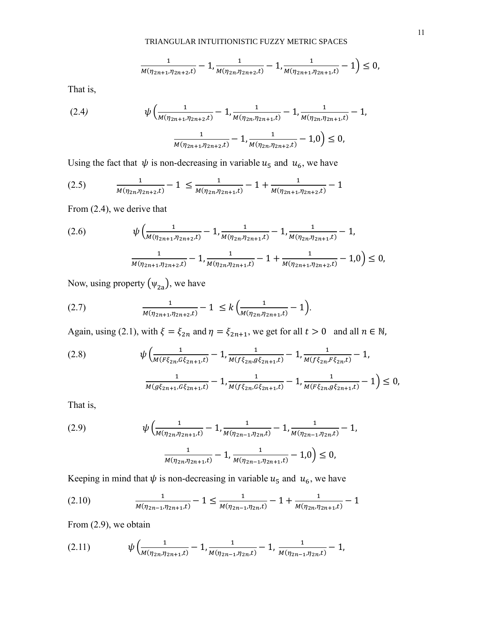$$
\frac{1}{M(\eta_{2n+1}, \eta_{2n+2}, t)} - 1, \frac{1}{M(\eta_{2n}, \eta_{2n+2}, t)} - 1, \frac{1}{M(\eta_{2n+1}, \eta_{2n+1}, t)} - 1 \leq 0,
$$

That is,

(2.4) 
$$
\psi\left(\frac{1}{M(\eta_{2n+1}, \eta_{2n+2}, t)} - 1, \frac{1}{M(\eta_{2n}, \eta_{2n+1}, t)} - 1, \frac{1}{M(\eta_{2n}, \eta_{2n+1}, t)} - 1, \frac{1}{M(\eta_{2n}, \eta_{2n+2}, t)} - 1, \frac{1}{M(\eta_{2n}, \eta_{2n+2}, t)} - 1, 0\right) \leq 0,
$$

Using the fact that  $\psi$  is non-decreasing in variable  $u_5$  and  $u_6$ , we have

$$
(2.5) \qquad \frac{1}{M(\eta_{2n}, \eta_{2n+2}, t)} - 1 \le \frac{1}{M(\eta_{2n}, \eta_{2n+1}, t)} - 1 + \frac{1}{M(\eta_{2n+1}, \eta_{2n+2}, t)} - 1
$$

From (2.4), we derive that

$$
(2.6) \qquad \psi\left(\frac{1}{M(\eta_{2n+1}, \eta_{2n+2}, t)} - 1, \frac{1}{M(\eta_{2n}, \eta_{2n+1}, t)} - 1, \frac{1}{M(\eta_{2n}, \eta_{2n+1}, t)} - 1, \frac{1}{M(\eta_{2n+1}, \eta_{2n+2}, t)} - 1, \frac{1}{M(\eta_{2n+1}, \eta_{2n+2}, t)} - 1, \frac{1}{M(\eta_{2n+1}, \eta_{2n+2}, t)} - 1, 0\right) \le 0,
$$

Now, using property  $(\psi_{2a})$ , we have

(2.7) 
$$
\frac{1}{M(\eta_{2n+1}, \eta_{2n+2}, t)} - 1 \leq k \left( \frac{1}{M(\eta_{2n}, \eta_{2n+1}, t)} - 1 \right).
$$

Again, using (2.1), with  $\xi = \xi_{2n}$  and  $\eta = \xi_{2n+1}$ , we get for all  $t > 0$  and all  $n \in \mathbb{N}$ ,

$$
(2.8) \qquad \psi\left(\frac{1}{M(F\xi_{2n}, G\xi_{2n+1}, t)} - 1, \frac{1}{M(f\xi_{2n}, g\xi_{2n+1}, t)} - 1, \frac{1}{M(f\xi_{2n}, F\xi_{2n}, t)} - 1, \frac{1}{M(g\xi_{2n+1}, G\xi_{2n+1}, t)} - 1, \frac{1}{M(f\xi_{2n}, G\xi_{2n+1}, t)} - 1, \frac{1}{M(F\xi_{2n}, g\xi_{2n+1}, t)} - 1\right) \le 0,
$$

That is,

(2.9) 
$$
\psi \left( \frac{1}{M(\eta_{2n}, \eta_{2n+1}, t)} - 1, \frac{1}{M(\eta_{2n-1}, \eta_{2n}, t)} - 1, \frac{1}{M(\eta_{2n-1}, \eta_{2n}, t)} - 1, \frac{1}{M(\eta_{2n}, \eta_{2n+1}, t)} - 1, \frac{1}{M(\eta_{2n-1}, \eta_{2n+1}, t)} - 1, 0 \right) \leq 0,
$$

Keeping in mind that  $\psi$  is non-decreasing in variable  $u_5$  and  $u_6$ , we have

$$
(2.10) \qquad \frac{1}{M(\eta_{2n-1}, \eta_{2n+1}, t)} - 1 \le \frac{1}{M(\eta_{2n-1}, \eta_{2n}, t)} - 1 + \frac{1}{M(\eta_{2n}, \eta_{2n+1}, t)} - 1
$$

From (2.9), we obtain

$$
(2.11) \t\t \psi \left( \frac{1}{M(\eta_{2n}, \eta_{2n+1}, t)} - 1, \frac{1}{M(\eta_{2n-1}, \eta_{2n}, t)} - 1, \frac{1}{M(\eta_{2n-1}, \eta_{2n}, t)} - 1, \right)
$$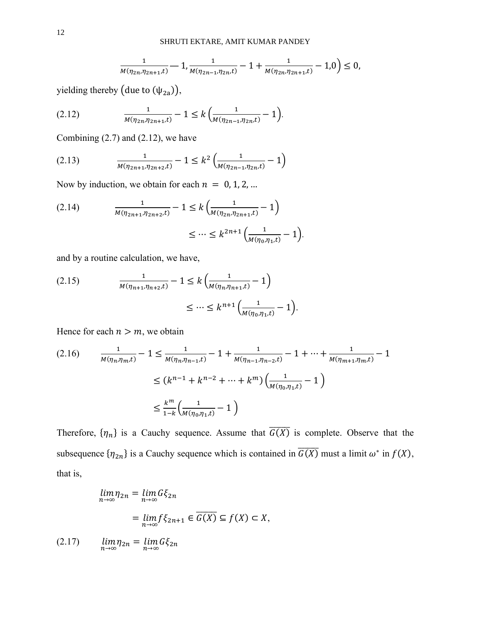$$
\frac{1}{M(\eta_{2n},\eta_{2n+1},t)}-1,\frac{1}{M(\eta_{2n-1},\eta_{2n},t)}-1+\frac{1}{M(\eta_{2n},\eta_{2n+1},t)}-1,0\big)\leq 0,
$$

yielding thereby (due to  $(\psi_{2a})$ ),

$$
(2.12) \qquad \frac{1}{M(\eta_{2n}, \eta_{2n+1}, t)} - 1 \le k \left( \frac{1}{M(\eta_{2n-1}, \eta_{2n}, t)} - 1 \right).
$$

Combining  $(2.7)$  and  $(2.12)$ , we have

$$
(2.13) \qquad \frac{1}{M(\eta_{2n+1}, \eta_{2n+2}, t)} - 1 \leq k^2 \left( \frac{1}{M(\eta_{2n-1}, \eta_{2n}, t)} - 1 \right)
$$

Now by induction, we obtain for each  $n = 0, 1, 2, ...$ 

$$
(2.14) \qquad \frac{1}{M(\eta_{2n+1}, \eta_{2n+2}, t)} - 1 \le k \left( \frac{1}{M(\eta_{2n}, \eta_{2n+1}, t)} - 1 \right) \\
\le \cdots \le k^{2n+1} \left( \frac{1}{M(\eta_0, \eta_1, t)} - 1 \right).
$$

and by a routine calculation, we have,

(2.15) 
$$
\frac{1}{M(\eta_{n+1}, \eta_{n+2}, t)} - 1 \le k \left( \frac{1}{M(\eta_n, \eta_{n+1}, t)} - 1 \right) \le \dots \le k^{n+1} \left( \frac{1}{M(\eta_0, \eta_1, t)} - 1 \right).
$$

Hence for each  $n > m$ , we obtain

$$
(2.16) \qquad \frac{1}{M(\eta_n, \eta_m, t)} - 1 \le \frac{1}{M(\eta_n, \eta_{n-1}, t)} - 1 + \frac{1}{M(\eta_{n-1}, \eta_{n-2}, t)} - 1 + \dots + \frac{1}{M(\eta_{m+1}, \eta_m, t)} - 1
$$

$$
\le (k^{n-1} + k^{n-2} + \dots + k^m) \left(\frac{1}{M(\eta_0, \eta_1, t)} - 1\right)
$$

$$
\le \frac{k^m}{1 - k} \left(\frac{1}{M(\eta_0, \eta_1, t)} - 1\right)
$$

Therefore,  $\{\eta_n\}$  is a Cauchy sequence. Assume that  $\overline{G(X)}$  is complete. Observe that the subsequence  $\{\eta_{2n}\}\$ is a Cauchy sequence which is contained in  $\overline{G(X)}$  must a limit  $\omega^*$  in  $f(X)$ , that is,

$$
\lim_{n \to \infty} \eta_{2n} = \lim_{n \to \infty} G\xi_{2n}
$$

$$
= \lim_{n \to \infty} f\xi_{2n+1} \in \overline{G(X)} \subseteq f(X) \subset X,
$$
  
(2.17) 
$$
\lim_{n \to \infty} \eta_{2n} = \lim_{n \to \infty} G\xi_{2n}
$$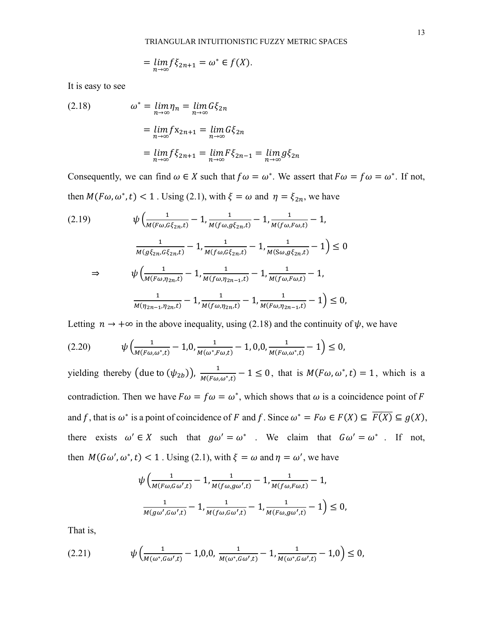$$
= \lim_{n \to \infty} f \xi_{2n+1} = \omega^* \in f(X).
$$

It is easy to see

(2.18) 
$$
\omega^* = \lim_{n \to \infty} \eta_n = \lim_{n \to \infty} G \xi_{2n}
$$

$$
= \lim_{n \to \infty} f x_{2n+1} = \lim_{n \to \infty} G \xi_{2n}
$$

$$
= \lim_{n \to \infty} f \xi_{2n+1} = \lim_{n \to \infty} F \xi_{2n-1} = \lim_{n \to \infty} g \xi_{2n}
$$

Consequently, we can find  $\omega \in X$  such that  $f \omega = \omega^*$ . We assert that  $F \omega = f \omega = \omega^*$ . If not, then  $M(F\omega, \omega^*, t) < 1$ . Using (2.1), with  $\xi = \omega$  and  $\eta = \xi_{2n}$ , we have

$$
(2.19) \quad \psi\left(\frac{1}{M(F\omega, G\xi_{2n}, t)} - 1, \frac{1}{M(f\omega, g\xi_{2n}, t)} - 1, \frac{1}{M(f\omega, F\omega, t)} - 1, \frac{1}{M(f\omega, F\omega, t)} - 1, \frac{1}{M(g\xi_{2n}, G\xi_{2n}, t)} - 1, \frac{1}{M(f\omega, G\xi_{2n}, t)} - 1, \frac{1}{M(S\omega, g\xi_{2n}, t)} - 1\right) \le 0
$$
\n
$$
\Rightarrow \quad \psi\left(\frac{1}{M(F\omega, \eta_{2n}, t)} - 1, \frac{1}{M(f\omega, \eta_{2n-1}, t)} - 1, \frac{1}{M(f\omega, F\omega, t)} - 1, \frac{1}{M(F\omega, \eta_{2n-1}, t)} - 1\right) \le 0,
$$

Letting  $n \to +\infty$  in the above inequality, using (2.18) and the continuity of  $\psi$ , we have

$$
(2.20) \t\t \psi \left( \frac{1}{M(F\omega,\omega^*,t)} - 1,0, \frac{1}{M(\omega^*,F\omega,t)} - 1,0,0, \frac{1}{M(F\omega,\omega^*,t)} - 1 \right) \leq 0,
$$

yielding thereby (due to  $(\psi_{2b})$ ),  $\frac{1}{M(F\omega)}$  $\frac{1}{M(F\omega,\omega^*,t)} - 1 \leq 0$ , that is  $M(F\omega,\omega^*,t) = 1$ , which is a contradiction. Then we have  $F\omega = f\omega = \omega^*$ , which shows that  $\omega$  is a coincidence point of F and f, that is  $\omega^*$  is a point of coincidence of F and f. Since  $\omega^* = F\omega \in F(X) \subseteq \overline{F(X)} \subseteq g(X)$ , there exists  $\omega' \in X$  such that  $g\omega' = \omega^*$ . We claim that  $G\omega' = \omega^*$ . If not, then  $M(G\omega', \omega^*, t) < 1$ . Using (2.1), with  $\xi = \omega$  and  $\eta = \omega'$ , we have

$$
\psi\left(\frac{1}{M(F\omega,G\omega',t)}-1,\frac{1}{M(f\omega,g\omega',t)}-1,\frac{1}{M(f\omega,F\omega,t)}-1,\frac{1}{M(g\omega',G\omega',t)}-1,\frac{1}{M(f\omega,G\omega',t)}-1,\frac{1}{M(F\omega,g\omega',t)}-1\right)\leq 0,
$$

That is,

$$
(2.21) \t\t \psi \left(\frac{1}{M(\omega^*, G \omega', t)} - 1, 0, 0, \frac{1}{M(\omega^*, G \omega', t)} - 1, \frac{1}{M(\omega^*, G \omega', t)} - 1, 0\right) \leq 0,
$$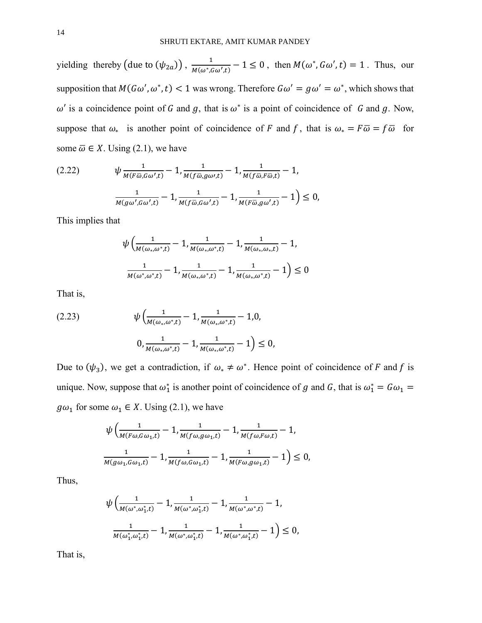yielding thereby  $(\text{due to }(\psi_{2a}))$  ,  $\frac{1}{M(\omega^*)^2}$  $\frac{1}{M(\omega^*, G\omega',t)} - 1 \leq 0$ , then  $M(\omega^*, G\omega',t) = 1$ . Thus, our supposition that  $M(G\omega', \omega^*, t) < 1$  was wrong. Therefore  $G\omega' = g\omega' = \omega^*$ , which shows that  $\omega'$  is a coincidence point of G and g, that is  $\omega^*$  is a point of coincidence of G and g. Now, suppose that  $\omega_*$  is another point of coincidence of F and f, that is  $\omega_* = F\overline{\omega} = f\overline{\omega}$  for some  $\overline{\omega} \in X$ . Using (2.1), we have

$$
(2.22) \t\t \psi \frac{1}{M(F\bar{\omega}, G\omega', t)} - 1, \frac{1}{M(f\bar{\omega}, g\omega', t)} - 1, \frac{1}{M(f\bar{\omega}, F\bar{\omega}, t)} - 1,
$$
  

$$
\frac{1}{M(g\omega', G\omega', t)} - 1, \frac{1}{M(f\bar{\omega}, G\omega', t)} - 1, \frac{1}{M(F\bar{\omega}, g\omega', t)} - 1) \le 0,
$$

This implies that

$$
\psi\left(\frac{1}{M(\omega_*,\omega^*,t)}-1,\frac{1}{M(\omega_*,\omega^*,t)}-1,\frac{1}{M(\omega_*,\omega_*,t)}-1,\right)
$$

$$
\frac{1}{M(\omega^*,\omega^*,t)}-1,\frac{1}{M(\omega_*,\omega^*,t)}-1,\frac{1}{M(\omega_*,\omega^*,t)}-1\right)\leq 0
$$

That is,

(2.23) 
$$
\psi \left( \frac{1}{M(\omega_*, \omega^*, t)} - 1, \frac{1}{M(\omega_*, \omega^*, t)} - 1, 0, \right)
$$

$$
0, \frac{1}{M(\omega_*, \omega^*, t)} - 1, \frac{1}{M(\omega_*, \omega^*, t)} - 1 \right) \le 0,
$$

Due to  $(\psi_3)$ , we get a contradiction, if  $\omega_* \neq \omega^*$ . Hence point of coincidence of F and f is unique. Now, suppose that  $\omega_1^*$  is another point of coincidence of g and G, that is  $\omega_1^* = G \omega_1 =$  $g\omega_1$  for some  $\omega_1 \in X$ . Using (2.1), we have

$$
\psi \left( \frac{1}{M(F\omega, G\omega_1, t)} - 1, \frac{1}{M(f\omega, g\omega_1, t)} - 1, \frac{1}{M(f\omega, F\omega, t)} - 1, \frac{1}{M(g\omega_1, G\omega_1, t)} - 1, \frac{1}{M(f\omega, G\omega_1, t)} - 1, \frac{1}{M(F\omega, g\omega_1, t)} - 1 \right) \le 0,
$$

Thus,

$$
\psi \left( \frac{1}{M(\omega^*, \omega_1^*, t)} - 1, \frac{1}{M(\omega^*, \omega_1^*, t)} - 1, \frac{1}{M(\omega^*, \omega^*, t)} - 1, \frac{1}{M(\omega^*, \omega_1^*, t)} - 1, \frac{1}{M(\omega^*, \omega_1^*, t)} - 1, \frac{1}{M(\omega^*, \omega_1^*, t)} - 1 \right) \le 0,
$$

That is,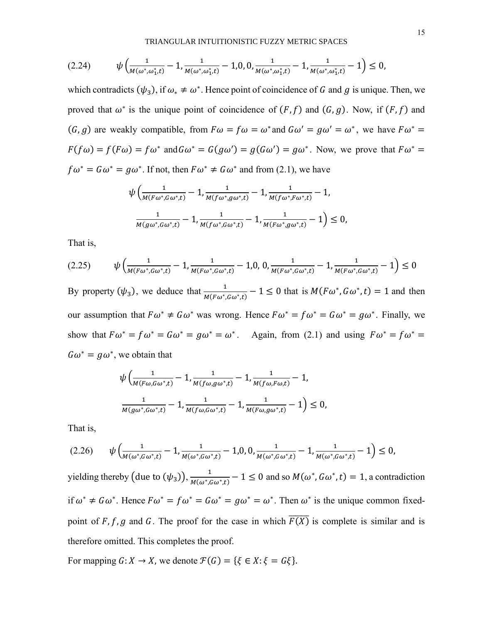$$
(2.24) \t\t \psi \left(\frac{1}{M(\omega^*, \omega_1^*, t)} - 1, \frac{1}{M(\omega^*, \omega_1^*, t)} - 1, 0, 0, \frac{1}{M(\omega^*, \omega_1^*, t)} - 1, \frac{1}{M(\omega^*, \omega_1^*, t)} - 1\right) \le 0,
$$

which contradicts  $(\psi_3)$ , if  $\omega_* \neq \omega^*$ . Hence point of coincidence of G and g is unique. Then, we proved that  $\omega^*$  is the unique point of coincidence of  $(F, f)$  and  $(G, g)$ . Now, if  $(F, f)$  and  $(G, g)$  are weakly compatible, from  $F\omega = f\omega = \omega^*$  and  $G\omega' = g\omega' = \omega^*$ , we have  $F\omega^* =$  $F(f\omega) = f(F\omega) = f\omega^*$  and  $G\omega^* = G(g\omega') = g(G\omega') = g\omega^*$ . Now, we prove that  $F\omega^* =$  $f\omega^* = G\omega^* = g\omega^*$ . If not, then  $F\omega^* \neq G\omega^*$  and from (2.1), we have

$$
\psi \left( \frac{1}{M(F\omega^*, G\omega^*, t)} - 1, \frac{1}{M(f\omega^*, g\omega^*, t)} - 1, \frac{1}{M(f\omega^*, F\omega^*, t)} - 1, \frac{1}{M(g\omega^*, G\omega^*, t)} - 1, \frac{1}{M(f\omega^*, G\omega^*, t)} - 1, \frac{1}{M(F\omega^*, g\omega^*, t)} - 1 \right) \le 0,
$$

That is,

$$
(2.25) \qquad \psi\left(\frac{1}{M(F\omega^*, G\omega^*, t)} - 1, \frac{1}{M(F\omega^*, G\omega^*, t)} - 1, 0, 0, \frac{1}{M(F\omega^*, G\omega^*, t)} - 1, \frac{1}{M(F\omega^*, G\omega^*, t)} - 1\right) \le 0
$$

By property  $(\psi_3)$ , we deduce that  $\frac{1}{M(F\omega^*, G\omega^*, t)} - 1 \le 0$  that is  $M(F\omega^*, G\omega^*, t) = 1$  and then our assumption that  $F\omega^* \neq G\omega^*$  was wrong. Hence  $F\omega^* = f\omega^* = G\omega^* = g\omega^*$ . Finally, we show that  $F\omega^* = f\omega^* = G\omega^* = g\omega^* = \omega^*$ . Again, from (2.1) and using  $F\omega^* = f\omega^* =$  $G\omega^* = g\omega^*$ , we obtain that

$$
\psi \left( \frac{1}{M(F\omega, G\omega^*, t)} - 1, \frac{1}{M(f\omega, g\omega^*, t)} - 1, \frac{1}{M(f\omega, F\omega, t)} - 1, \frac{1}{M(g\omega^*, G\omega^*, t)} - 1, \frac{1}{M(f\omega, G\omega^*, t)} - 1, \frac{1}{M(F\omega, g\omega^*, t)} - 1 \right) \le 0,
$$

That is,

$$
(2.26) \qquad \psi\left(\frac{1}{M(\omega^*, G\omega^*, t)} - 1, \frac{1}{M(\omega^*, G\omega^*, t)} - 1, 0, 0, \frac{1}{M(\omega^*, G\omega^*, t)} - 1, \frac{1}{M(\omega^*, G\omega^*, t)} - 1\right) \le 0,
$$

yielding thereby (due to  $(\psi_3)$ ),  $\frac{1}{M(\omega^*)}$  $\frac{1}{M(\omega^*, G\omega^*,t)} - 1 \leq 0$  and so  $M(\omega^*, G\omega^*,t) = 1$ , a contradiction if  $\omega^* \neq \omega^*$ . Hence  $F\omega^* = f\omega^* = \omega^* = g\omega^* = \omega^*$ . Then  $\omega^*$  is the unique common fixedpoint of F, f, g and G. The proof for the case in which  $\overline{F(X)}$  is complete is similar and is therefore omitted. This completes the proof.

For mapping  $G: X \to X$ , we denote  $\mathcal{F}(G) = \{ \xi \in X : \xi = G \xi \}.$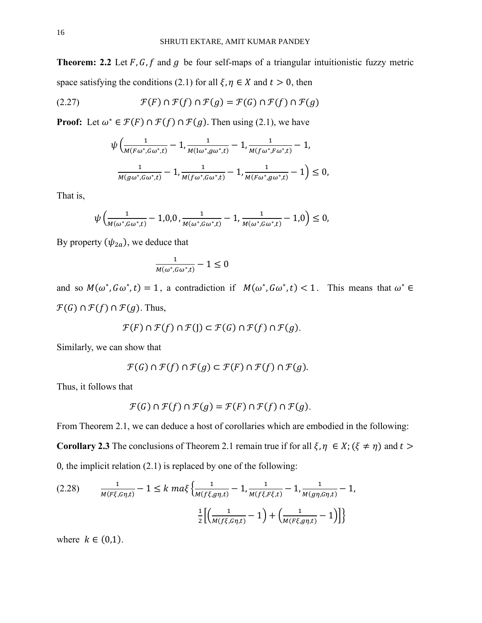**Theorem: 2.2** Let  $F$ ,  $G$ ,  $f$  and  $g$  be four self-maps of a triangular intuitionistic fuzzy metric space satisfying the conditions (2.1) for all  $\xi, \eta \in X$  and  $t > 0$ , then

(2.27) 
$$
\mathcal{F}(F) \cap \mathcal{F}(f) \cap \mathcal{F}(g) = \mathcal{F}(G) \cap \mathcal{F}(f) \cap \mathcal{F}(g)
$$

**Proof:** Let  $\omega^* \in \mathcal{F}(F) \cap \mathcal{F}(f) \cap \mathcal{F}(g)$ . Then using (2.1), we have

$$
\psi \left( \frac{1}{M(F\omega^*, G\omega^*, t)} - 1, \frac{1}{M(I\omega^*, g\omega^*, t)} - 1, \frac{1}{M(f\omega^*, F\omega^*, t)} - 1, \frac{1}{M(g\omega^*, G\omega^*, t)} - 1, \frac{1}{M(f\omega^*, G\omega^*, t)} - 1, \frac{1}{M(F\omega^*, g\omega^*, t)} - 1 \right) \le 0,
$$

That is,

$$
\psi\left(\frac{1}{M(\omega^*, G\omega^*, t)} - 1, 0, 0, \frac{1}{M(\omega^*, G\omega^*, t)} - 1, \frac{1}{M(\omega^*, G\omega^*, t)} - 1, 0\right) \leq 0,
$$

By property  $(\psi_{2a})$ , we deduce that

$$
\frac{1}{M(\omega^*, G\omega^*, t)} - 1 \leq 0
$$

and so  $M(\omega^*, G\omega^*, t) = 1$ , a contradiction if  $M(\omega^*, G\omega^*, t) < 1$ . This means that  $\omega^* \in$  $\mathcal{F}(G) \cap \mathcal{F}(f) \cap \mathcal{F}(g)$ . Thus,

$$
\mathcal{F}(F) \cap \mathcal{F}(f) \cap \mathcal{F}(J) \subset \mathcal{F}(G) \cap \mathcal{F}(f) \cap \mathcal{F}(g).
$$

Similarly, we can show that

$$
\mathcal{F}(G) \cap \mathcal{F}(f) \cap \mathcal{F}(g) \subset \mathcal{F}(F) \cap \mathcal{F}(f) \cap \mathcal{F}(g).
$$

Thus, it follows that

$$
\mathcal{F}(G) \cap \mathcal{F}(f) \cap \mathcal{F}(g) = \mathcal{F}(F) \cap \mathcal{F}(f) \cap \mathcal{F}(g).
$$

From Theorem 2.1, we can deduce a host of corollaries which are embodied in the following:

**Corollary 2.3** The conclusions of Theorem 2.1 remain true if for all  $\xi, \eta \in X$ ;  $(\xi \neq \eta)$  and  $t >$ 0, the implicit relation (2.1) is replaced by one of the following:

$$
(2.28) \qquad \frac{1}{M(F\xi, G\eta, t)} - 1 \le k \, ma\xi \left\{ \frac{1}{M(f\xi, g\eta, t)} - 1, \frac{1}{M(f\xi, F\xi, t)} - 1, \frac{1}{M(g\eta, G\eta, t)} - 1, \frac{1}{M(g\eta, G\eta, t)} - 1 \right\}
$$
\n
$$
\frac{1}{2} \left[ \left( \frac{1}{M(f\xi, G\eta, t)} - 1 \right) + \left( \frac{1}{M(F\xi, g\eta, t)} - 1 \right) \right]
$$

where  $k \in (0,1)$ .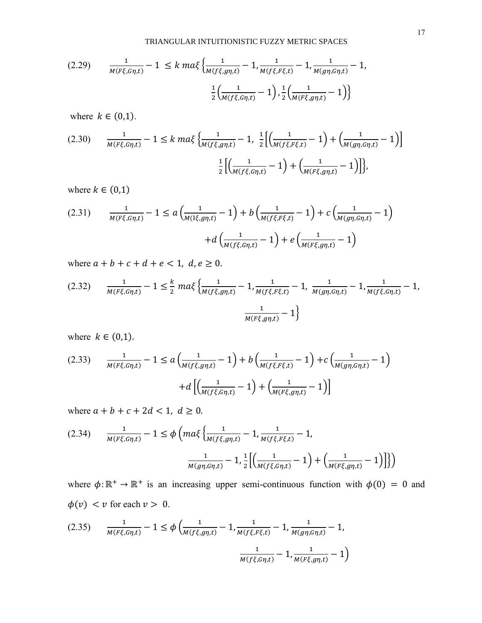$$
(2.29) \qquad \frac{1}{M(F\xi, G\eta, t)} - 1 \le k \, ma\xi \left\{ \frac{1}{M(f\xi, g\eta, t)} - 1, \frac{1}{M(f\xi, F\xi, t)} - 1, \frac{1}{M(g\eta, G\eta, t)} - 1 \right\}
$$
\n
$$
\frac{1}{2} \left( \frac{1}{M(f\xi, G\eta, t)} - 1 \right), \frac{1}{2} \left( \frac{1}{M(F\xi, g\eta, t)} - 1 \right) \right\}
$$

where  $k \in (0,1)$ .

$$
(2.30) \qquad \frac{1}{M(F\xi, G\eta, t)} - 1 \le k \, ma\xi \left\{ \frac{1}{M(f\xi, g\eta, t)} - 1, \frac{1}{2} \left[ \left( \frac{1}{M(f\xi, F\xi, t)} - 1 \right) + \left( \frac{1}{M(g\eta, G\eta, t)} - 1 \right) \right] \right\}
$$
\n
$$
\frac{1}{2} \left[ \left( \frac{1}{M(f\xi, G\eta, t)} - 1 \right) + \left( \frac{1}{M(F\xi, g\eta, t)} - 1 \right) \right],
$$

where  $k \in (0,1)$ 

(2.31) 
$$
\frac{1}{M(F\xi, G\eta, t)} - 1 \le a \left( \frac{1}{M(I\xi, g\eta, t)} - 1 \right) + b \left( \frac{1}{M(f\xi, F\xi, t)} - 1 \right) + c \left( \frac{1}{M(g\eta, G\eta, t)} - 1 \right) + d \left( \frac{1}{M(f\xi, G\eta, t)} - 1 \right) + e \left( \frac{1}{M(F\xi, g\eta, t)} - 1 \right)
$$

where  $a + b + c + d + e < 1$ ,  $d, e \ge 0$ .

$$
(2.32) \qquad \frac{1}{M(F\xi, G\eta, t)} - 1 \le \frac{k}{2} \, ma\xi \left\{ \frac{1}{M(f\xi, g\eta, t)} - 1, \frac{1}{M(f\xi, F\xi, t)} - 1, \frac{1}{M(g\eta, G\eta, t)} - 1, \frac{1}{M(f\xi, G\eta, t)} - 1, \frac{1}{M(f\xi, G\eta, t)} - 1, \frac{1}{M(f\xi, G\eta, t)} - 1 \right\}
$$

where  $k \in (0,1)$ .

$$
(2.33) \qquad \frac{1}{M(F\xi, G\eta, t)} - 1 \le a \left( \frac{1}{M(f\xi, g\eta, t)} - 1 \right) + b \left( \frac{1}{M(f\xi, F\xi, t)} - 1 \right) + c \left( \frac{1}{M(g\eta, G\eta, t)} - 1 \right) + d \left[ \left( \frac{1}{M(f\xi, G\eta, t)} - 1 \right) + \left( \frac{1}{M(F\xi, g\eta, t)} - 1 \right) \right]
$$

where  $a + b + c + 2d < 1, d \ge 0$ .

$$
(2.34) \qquad \frac{1}{M(F\xi, G\eta, t)} - 1 \le \phi \left( ma\xi \left\{ \frac{1}{M(f\xi, g\eta, t)} - 1, \frac{1}{M(f\xi, F\xi, t)} - 1, \frac{1}{M(f\xi, F\xi, t)} - 1, \frac{1}{2} \left[ \left( \frac{1}{M(f\xi, G\eta, t)} - 1 \right) + \left( \frac{1}{M(F\xi, g\eta, t)} - 1 \right) \right] \right\} \right)
$$

where  $\phi: \mathbb{R}^+ \to \mathbb{R}^+$  is an increasing upper semi-continuous function with  $\phi(0) = 0$  and  $\phi(v) < v$  for each  $v > 0$ .

$$
(2.35) \qquad \frac{1}{M(F\xi, G\eta, t)} - 1 \le \phi \left( \frac{1}{M(f\xi, g\eta, t)} - 1, \frac{1}{M(f\xi, F\xi, t)} - 1, \frac{1}{M(g\eta, G\eta, t)} - 1, \frac{1}{M(F\xi, g\eta, t)} - 1 \right)
$$
\n
$$
\frac{1}{M(f\xi, G\eta, t)} - 1, \frac{1}{M(F\xi, g\eta, t)} - 1 \right)
$$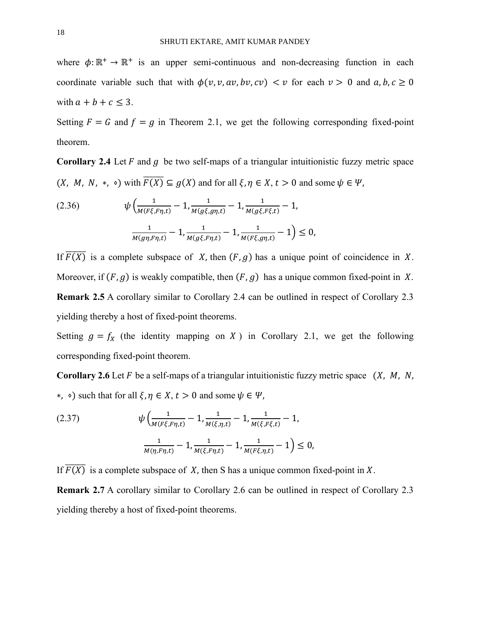where  $\phi: \mathbb{R}^+ \to \mathbb{R}^+$  is an upper semi-continuous and non-decreasing function in each coordinate variable such that with  $\phi(v, v, av, bv, cv) < v$  for each  $v > 0$  and  $a, b, c \ge 0$ with  $a + b + c \leq 3$ .

Setting  $F = G$  and  $f = g$  in Theorem 2.1, we get the following corresponding fixed-point theorem.

**Corollary 2.4** Let  $F$  and  $g$  be two self-maps of a triangular intuitionistic fuzzy metric space  $(X, M, N, * , \cdot)$  with  $\overline{F(X)} \subseteq g(X)$  and for all  $\xi, \eta \in X, t > 0$  and some  $\psi \in \Psi$ ,

(2.36) 
$$
\psi \left( \frac{1}{M(F\xi, F\eta, t)} - 1, \frac{1}{M(g\xi, g\eta, t)} - 1, \frac{1}{M(g\xi, F\xi, t)} - 1, \frac{1}{M(g\xi, F\xi, t)} - 1, \frac{1}{M(g\xi, F\eta, t)} - 1, \frac{1}{M(F\xi, g\eta, t)} - 1 \right) \leq 0,
$$

If  $\overline{F(X)}$  is a complete subspace of X, then  $(F, g)$  has a unique point of coincidence in X. Moreover, if  $(F, g)$  is weakly compatible, then  $(F, g)$  has a unique common fixed-point in X. **Remark 2.5** A corollary similar to Corollary 2.4 can be outlined in respect of Corollary 2.3 yielding thereby a host of fixed-point theorems.

Setting  $g = f_X$  (the identity mapping on X) in Corollary 2.1, we get the following corresponding fixed-point theorem.

**Corollary 2.6** Let  $F$  be a self-maps of a triangular intuitionistic fuzzy metric space  $(X, M, N, N)$ ∗,  $\circ$ ) such that for all  $\xi, \eta \in X$ ,  $t > 0$  and some  $\psi \in \Psi$ ,

(2.37) 
$$
\psi \left( \frac{1}{M(F\xi, F\eta, t)} - 1, \frac{1}{M(\xi, \eta, t)} - 1, \frac{1}{M(\xi, F\xi, t)} - 1, \frac{1}{M(\eta, F\eta, t)} - 1, \frac{1}{M(F\xi, \eta, t)} - 1, \frac{1}{M(F\xi, \eta, t)} - 1 \right) \leq 0,
$$

If  $\overline{F(X)}$  is a complete subspace of X, then S has a unique common fixed-point in X.

**Remark 2.7** A corollary similar to Corollary 2.6 can be outlined in respect of Corollary 2.3 yielding thereby a host of fixed-point theorems.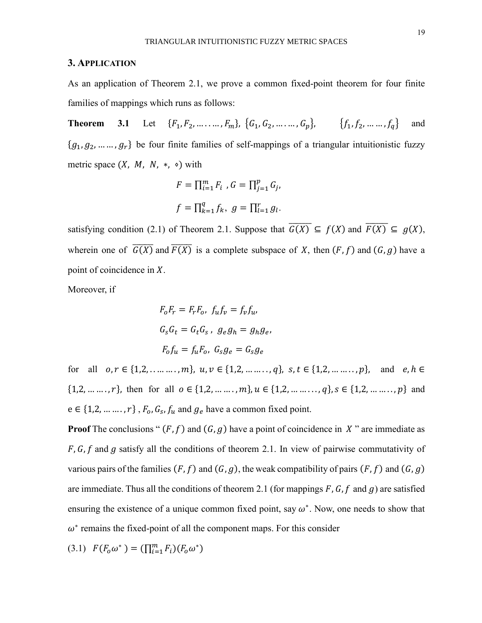#### **3. APPLICATION**

As an application of Theorem 2.1, we prove a common fixed-point theorem for four finite families of mappings which runs as follows:

**Theorem 3.1** Let  $\{F_1, F_2, \ldots, F_m\}$ ,  $\{G_1, G_2, \ldots, G_n\}$ ,  $\{f_1, f_2, \ldots, f_n\}$  and  ${g_1, g_2, \dots, g_r}$  be four finite families of self-mappings of a triangular intuitionistic fuzzy metric space  $(X, M, N, *, \circ)$  with

$$
F = \prod_{i=1}^{m} F_i, G = \prod_{j=1}^{p} G_j,
$$
  

$$
f = \prod_{k=1}^{q} f_k, g = \prod_{l=1}^{r} g_l.
$$

satisfying condition (2.1) of Theorem 2.1. Suppose that  $\overline{G(X)} \subseteq f(X)$  and  $\overline{F(X)} \subseteq g(X)$ , wherein one of  $\overline{G(X)}$  and  $\overline{F(X)}$  is a complete subspace of X, then  $(F, f)$  and  $(G, g)$  have a point of coincidence in  $X$ .

Moreover, if

$$
F_o F_r = F_r F_o, f_u f_v = f_v f_u,
$$
  

$$
G_s G_t = G_t G_s, g_e g_h = g_h g_e,
$$
  

$$
F_o f_u = f_u F_o, G_s g_e = G_s g_e
$$

for all  $o, r \in \{1, 2, \ldots, m\}, u, v \in \{1, 2, \ldots, q\}, s, t \in \{1, 2, \ldots, m\}, and e, h \in$  $\{1,2,\ldots,\ldots,r\}$ , then for all  $o \in \{1,2,\ldots,\ldots,m\}$ ,  $u \in \{1,2,\ldots,\ldots,q\}$ ,  $s \in \{1,2,\ldots,\ldots,p\}$  and  $e \in \{1, 2, \dots, r\}$ ,  $F_o$ ,  $G_s$ ,  $f_u$  and  $g_e$  have a common fixed point.

**Proof** The conclusions " $(F, f)$  and  $(G, g)$  have a point of coincidence in X" are immediate as  $F, G, f$  and g satisfy all the conditions of theorem 2.1. In view of pairwise commutativity of various pairs of the families  $(F, f)$  and  $(G, g)$ , the weak compatibility of pairs  $(F, f)$  and  $(G, g)$ are immediate. Thus all the conditions of theorem 2.1 (for mappings  $F$ ,  $G$ ,  $f$  and  $g$ ) are satisfied ensuring the existence of a unique common fixed point, say  $\omega^*$ . Now, one needs to show that  $\omega^*$  remains the fixed-point of all the component maps. For this consider

(3.1) 
$$
F(F_o\omega^*) = (\prod_{i=1}^m F_i)(F_o\omega^*)
$$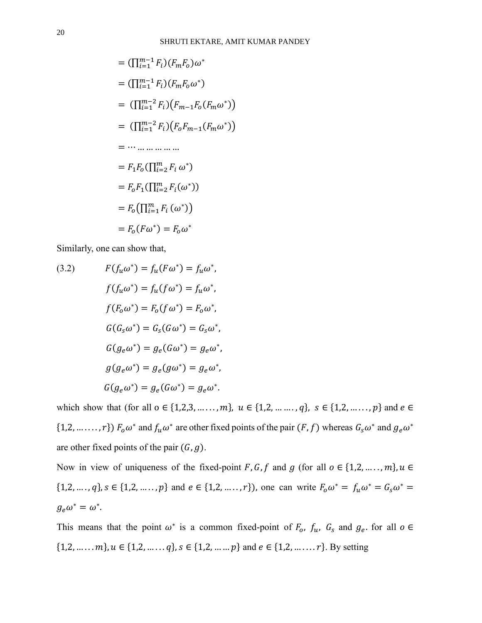$$
= (\prod_{i=1}^{m-1} F_i) (F_m F_o) \omega^*
$$
  
\n
$$
= (\prod_{i=1}^{m-1} F_i) (F_m F_o \omega^*)
$$
  
\n
$$
= (\prod_{i=1}^{m-2} F_i) (F_{m-1} F_o (F_m \omega^*))
$$
  
\n
$$
= (\prod_{i=1}^{m-2} F_i) (F_o F_{m-1} (F_m \omega^*))
$$
  
\n
$$
= \cdots \cdots \cdots \cdots \cdots
$$
  
\n
$$
= F_1 F_o (\prod_{i=2}^{m} F_i \omega^*)
$$
  
\n
$$
= F_o F_1 (\prod_{i=1}^{m} F_i \omega^*)
$$
  
\n
$$
= F_o (\prod_{i=1}^{m} F_i \omega^*)
$$
  
\n
$$
= F_o (F \omega^*) = F_o \omega^*
$$

Similarly, one can show that,

(3.2) 
$$
F(f_u \omega^*) = f_u(F\omega^*) = f_u \omega^*,
$$

$$
f(f_u \omega^*) = f_u(f\omega^*) = f_u \omega^*,
$$

$$
f(F_o \omega^*) = F_o(f\omega^*) = F_o \omega^*,
$$

$$
G(G_s \omega^*) = G_s(G\omega^*) = G_s \omega^*,
$$

$$
G(g_e \omega^*) = g_e(G\omega^*) = g_e \omega^*,
$$

$$
g(g_e \omega^*) = g_e(g\omega^*) = g_e \omega^*,
$$

$$
G(g_e \omega^*) = g_e(G\omega^*) = g_e \omega^*.
$$

which show that (for all  $o \in \{1,2,3,\ldots,m\}$ ,  $u \in \{1,2,\ldots,m\}$ ,  $s \in \{1,2,\ldots,m\}$  and  $e \in$ {1,2, ......, r})  $F_0 \omega^*$  and  $f_u \omega^*$  are other fixed points of the pair  $(F, f)$  whereas  $G_s \omega^*$  and  $g_e \omega^*$ are other fixed points of the pair  $(G, g)$ .

Now in view of uniqueness of the fixed-point F, G, f and g (for all  $o \in \{1, 2, ..., m\}$ ,  $u \in$  $\{1,2,\ldots,q\}, s \in \{1,2,\ldots,p\}$  and  $e \in \{1,2,\ldots,r\}$ , one can write  $F_0\omega^* = f_u\omega^* = G_s\omega^* =$  $g_e\omega^*=\omega^*.$ 

This means that the point  $\omega^*$  is a common fixed-point of  $F_o$ ,  $f_u$ ,  $G_s$  and  $g_e$ , for all  $o \in$  $\{1,2,\ldots,m\}, u \in \{1,2,\ldots,q\}, s \in \{1,2,\ldots,p\}$  and  $e \in \{1,2,\ldots,n\}$ . By setting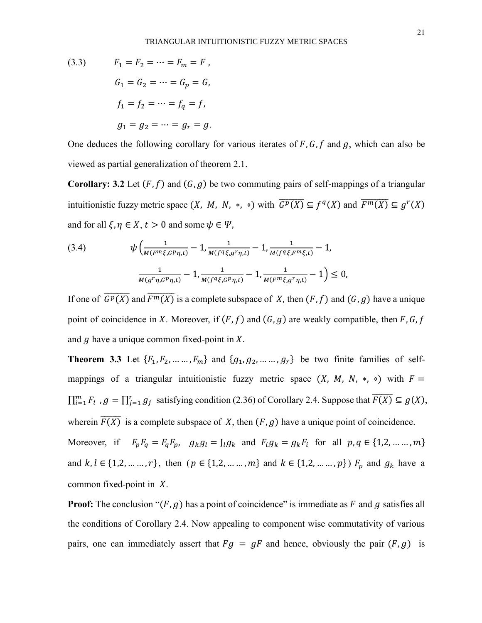(3.3) 
$$
F_1 = F_2 = \dots = F_m = F,
$$

$$
G_1 = G_2 = \dots = G_p = G,
$$

$$
f_1 = f_2 = \dots = f_q = f,
$$

$$
g_1 = g_2 = \dots = g_r = g.
$$

One deduces the following corollary for various iterates of  $F$ ,  $G$ ,  $f$  and  $g$ , which can also be viewed as partial generalization of theorem 2.1.

**Corollary: 3.2** Let  $(F, f)$  and  $(G, g)$  be two commuting pairs of self-mappings of a triangular intuitionistic fuzzy metric space  $(X, M, N, * , \circ)$  with  $\overline{G^p(X)} \subseteq f^q(X)$  and  $\overline{F^m(X)} \subseteq g^r(X)$ and for all  $\xi, \eta \in X, t > 0$  and some  $\psi \in \Psi$ ,

(3.4) 
$$
\psi \left( \frac{1}{M(F^m \xi, G^p \eta, t)} - 1, \frac{1}{M(f^q \xi, g^r \eta, t)} - 1, \frac{1}{M(f^q \xi, F^m \xi, t)} - 1, \frac{1}{M(g^r \eta, G^p \eta, t)} - 1, \frac{1}{M(f^q \xi, G^p \eta, t)} - 1, \frac{1}{M(F^m \xi, g^r \eta, t)} - 1 \right) \leq 0,
$$

If one of  $\overline{G^p(X)}$  and  $\overline{F^m(X)}$  is a complete subspace of X, then  $(F, f)$  and  $(G, g)$  have a unique point of coincidence in X. Moreover, if  $(F, f)$  and  $(G, g)$  are weakly compatible, then F, G, f and  $g$  have a unique common fixed-point in  $X$ .

**Theorem 3.3** Let  $\{F_1, F_2, \ldots, F_m\}$  and  $\{g_1, g_2, \ldots, g_r\}$  be two finite families of selfmappings of a triangular intuitionistic fuzzy metric space  $(X, M, N, *, \circ)$  with  $F =$  $\prod_{i=1}^{m} F_i$ ,  $g = \prod_{j=1}^{r} g_j$  satisfying condition (2.36) of Corollary 2.4. Suppose that  $\overline{F(X)} \subseteq g(X)$ , wherein  $\overline{F(X)}$  is a complete subspace of X, then  $(F, g)$  have a unique point of coincidence.

Moreover, if  $F_p F_q = F_q F_p$ ,  $g_k g_l = J_l g_k$  and  $F_l g_k = g_k F_l$  for all  $p, q \in \{1, 2, \dots, m\}$ and  $k, l \in \{1, 2, ..., r\}$ , then  $(p \in \{1, 2, ..., m\}$  and  $k \in \{1, 2, ..., p\})$   $F_p$  and  $g_k$  have a common fixed-point in  $X$ .

**Proof:** The conclusion " $(F, g)$  has a point of coincidence" is immediate as F and g satisfies all the conditions of Corollary 2.4. Now appealing to component wise commutativity of various pairs, one can immediately assert that  $Fg = gF$  and hence, obviously the pair  $(F, g)$  is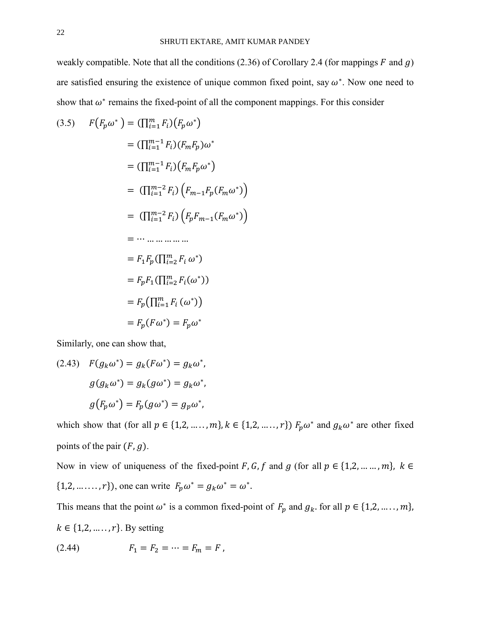weakly compatible. Note that all the conditions  $(2.36)$  of Corollary 2.4 (for mappings F and g) are satisfied ensuring the existence of unique common fixed point, say  $\omega^*$ . Now one need to show that  $\omega^*$  remains the fixed-point of all the component mappings. For this consider

$$
F(F_p \omega^*) = (\prod_{i=1}^m F_i)(F_p \omega^*)
$$
  
\n
$$
= (\prod_{i=1}^{m-1} F_i)(F_m F_p) \omega^*
$$
  
\n
$$
= (\prod_{i=1}^{m-1} F_i)(F_m F_p \omega^*)
$$
  
\n
$$
= (\prod_{i=1}^{m-2} F_i)(F_{m-1} F_p (F_m \omega^*))
$$
  
\n
$$
= (\prod_{i=1}^{m-2} F_i)(F_p F_{m-1} (F_m \omega^*))
$$
  
\n
$$
= \cdots \cdots \cdots \cdots \cdots
$$
  
\n
$$
= F_1 F_p (\prod_{i=2}^m F_i \omega^*)
$$
  
\n
$$
= F_p F_1 (\prod_{i=1}^m F_i \omega^*)
$$
  
\n
$$
= F_p (F \omega^*) = F_p \omega^*
$$

Similarly, one can show that,

(2.43) 
$$
F(g_k \omega^*) = g_k(F\omega^*) = g_k \omega^*,
$$

$$
g(g_k \omega^*) = g_k(g\omega^*) = g_k \omega^*,
$$

$$
g(F_p \omega^*) = F_p(g\omega^*) = g_p \omega^*,
$$

which show that (for all  $p \in \{1, 2, ..., m\}$ ,  $k \in \{1, 2, ..., r\}$ )  $F_p \omega^*$  and  $g_k \omega^*$  are other fixed points of the pair  $(F, g)$ .

Now in view of uniqueness of the fixed-point F, G, f and g (for all  $p \in \{1, 2, ..., m\}$ ,  $k \in$ {1,2, ... ..., r}), one can write  $F_p \omega^* = g_k \omega^* = \omega^*$ .

This means that the point  $\omega^*$  is a common fixed-point of  $F_p$  and  $g_k$  for all  $p \in \{1,2,\ldots,m\}$ ,  $k \in \{1,2,\ldots,r\}$ . By setting (2.44)  $F_1 = F_2 = \dots = F_m = F$ ,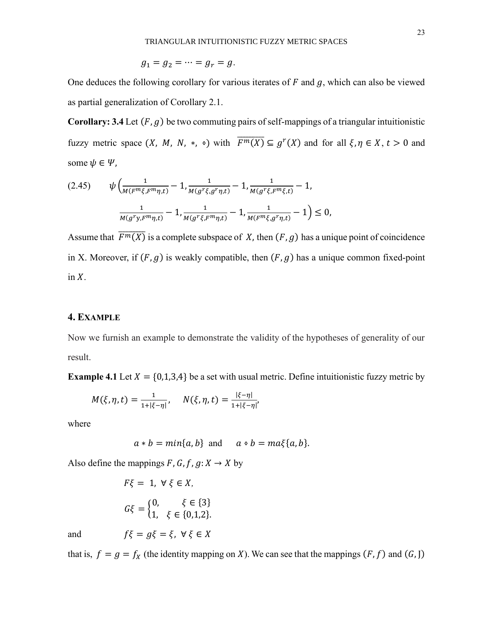$$
g_1=g_2=\cdots=g_r=g.
$$

One deduces the following corollary for various iterates of  $F$  and  $g$ , which can also be viewed as partial generalization of Corollary 2.1.

**Corollary: 3.4** Let  $(F, g)$  be two commuting pairs of self-mappings of a triangular intuitionistic fuzzy metric space  $(X, M, N, * , \circ)$  with  $\overline{F^m(X)} \subseteq g^r(X)$  and for all  $\xi, \eta \in X, t > 0$  and some  $\psi \in \Psi$ ,

$$
(2.45) \qquad \psi\left(\frac{1}{M(F^m\xi, F^m\eta, t)} - 1, \frac{1}{M(g^r\xi, g^r\eta, t)} - 1, \frac{1}{M(g^r\xi, F^m\xi, t)} - 1, \frac{1}{M(g^r\xi, F^m\eta, t)} - 1, \frac{1}{M(g^r\xi, F^m\eta, t)} - 1, \frac{1}{M(F^m\xi, g^r\eta, t)} - 1\right) \le 0,
$$

Assume that  $\overline{F^m(X)}$  is a complete subspace of X, then  $(F, g)$  has a unique point of coincidence in X. Moreover, if  $(F, g)$  is weakly compatible, then  $(F, g)$  has a unique common fixed-point in  $X$ .

## **4. EXAMPLE**

Now we furnish an example to demonstrate the validity of the hypotheses of generality of our result.

**Example 4.1** Let  $X = \{0,1,3,4\}$  be a set with usual metric. Define intuitionistic fuzzy metric by

$$
M(\xi, \eta, t) = \frac{1}{1 + |\xi - \eta|}, \quad N(\xi, \eta, t) = \frac{|\xi - \eta|}{1 + |\xi - \eta|},
$$

where

$$
a * b = min\{a, b\}
$$
 and  $a * b = ma\xi\{a, b\}.$ 

Also define the mappings  $F$ ,  $G$ ,  $f$ ,  $g$ :  $X \rightarrow X$  by

$$
F\xi = 1, \ \forall \ \xi \in X,
$$
  

$$
G\xi = \begin{cases} 0, & \xi \in \{3\} \\ 1, & \xi \in \{0,1,2\}. \end{cases}
$$

and  $f\xi = g\xi = \xi, \forall \xi \in X$ 

that is,  $f = g = f_X$  (the identity mapping on X). We can see that the mappings  $(F, f)$  and  $(G, J)$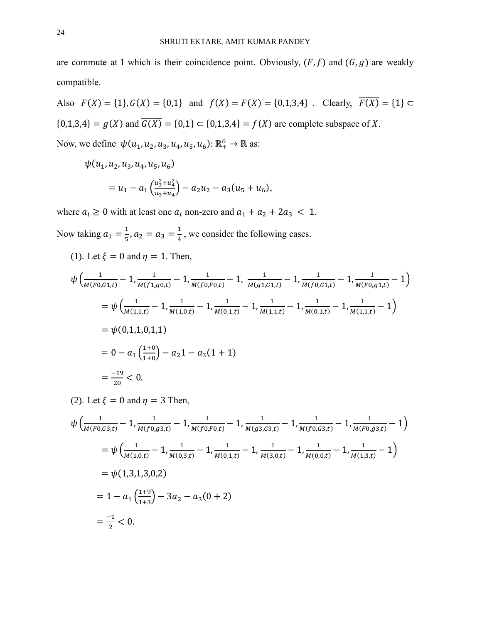are commute at 1 which is their coincidence point. Obviously,  $(F, f)$  and  $(G, g)$  are weakly compatible.

Also 
$$
F(X) = \{1\}, G(X) = \{0,1\}
$$
 and  $f(X) = F(X) = \{0,1,3,4\}$ . Clearly,  $\overline{F(X)} = \{1\} \subset \{0,1,3,4\} = g(X)$  and  $\overline{G(X)} = \{0,1\} \subset \{0,1,3,4\} = f(X)$  are complete subspace of X.

Now, we define  $\psi(u_1, u_2, u_3, u_4, u_5, u_6)$ :  $\mathbb{R}^6_+ \to \mathbb{R}$  as:

$$
\psi(u_1, u_2, u_3, u_4, u_5, u_6)
$$
  
=  $u_1 - a_1 \left( \frac{u_3^2 + u_4^2}{u_3 + u_4} \right) - a_2 u_2 - a_3 (u_5 + u_6),$ 

where  $a_i \ge 0$  with at least one  $a_i$  non-zero and  $a_1 + a_2 + 2a_3 < 1$ .

Now taking  $a_1 = \frac{1}{5}$  $\frac{1}{5}$ ,  $a_2 = a_3 = \frac{1}{4}$  $\frac{1}{4}$ , we consider the following cases.

(1). Let 
$$
\xi = 0
$$
 and  $\eta = 1$ . Then,

$$
\psi\left(\frac{1}{M(F0,G1,t)}-1,\frac{1}{M(f1,g0,t)}-1,\frac{1}{M(f0,F0,t)}-1,\frac{1}{M(g1,G1,t)}-1,\frac{1}{M(f0,G1,t)}-1,\frac{1}{M(F0,g1,t)}-1\right)
$$
\n
$$
=\psi\left(\frac{1}{M(1,1,t)}-1,\frac{1}{M(1,0,t)}-1,\frac{1}{M(0,1,t)}-1,\frac{1}{M(1,1,t)}-1,\frac{1}{M(0,1,t)}-1,\frac{1}{M(1,1,t)}-1\right)
$$
\n
$$
=\psi(0,1,1,0,1,1)
$$
\n
$$
=0-a_1\left(\frac{1+0}{1+0}\right)-a_21-a_3(1+1)
$$
\n
$$
=\frac{-19}{20}<0.
$$

(2). Let  $\xi = 0$  and  $\eta = 3$  Then,

$$
\psi \left( \frac{1}{M(F0, G3, t)} - 1, \frac{1}{M(f0, g3, t)} - 1, \frac{1}{M(f0, F0, t)} - 1, \frac{1}{M(g3, G3, t)} - 1, \frac{1}{M(f0, G3, t)} - 1, \frac{1}{M(F0, g3, t)} - 1 \right)
$$
\n
$$
= \psi \left( \frac{1}{M(1, 0, t)} - 1, \frac{1}{M(0, 3, t)} - 1, \frac{1}{M(0, 1, t)} - 1, \frac{1}{M(3, 0, t)} - 1, \frac{1}{M(0, 0, t)} - 1, \frac{1}{M(1, 3, t)} - 1 \right)
$$
\n
$$
= \psi (1, 3, 1, 3, 0, 2)
$$
\n
$$
= 1 - a_1 \left( \frac{1+9}{1+3} \right) - 3a_2 - a_3(0+2)
$$
\n
$$
= \frac{-1}{2} < 0.
$$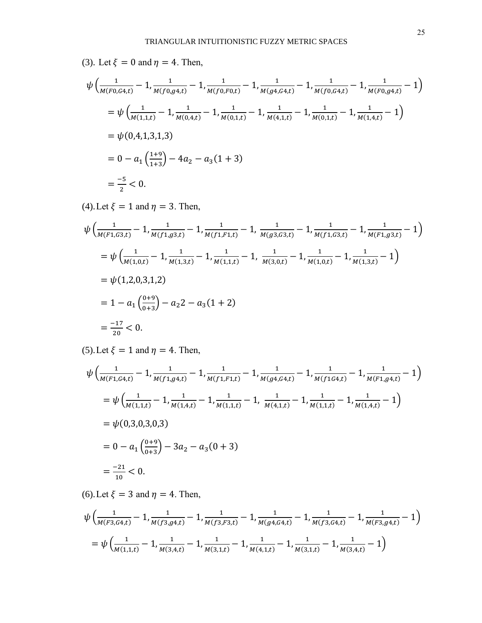(3). Let 
$$
\xi = 0
$$
 and  $\eta = 4$ . Then,

$$
\psi\left(\frac{1}{M(F0, G4, t)} - 1, \frac{1}{M(f0, g4, t)} - 1, \frac{1}{M(f0, F0, t)} - 1, \frac{1}{M(g4, G4, t)} - 1, \frac{1}{M(f0, G4, t)} - 1, \frac{1}{M(F0, g4, t)} - 1\right)
$$
\n
$$
= \psi\left(\frac{1}{M(1, 1, t)} - 1, \frac{1}{M(0, 4, t)} - 1, \frac{1}{M(0, 1, t)} - 1, \frac{1}{M(4, 1, t)} - 1, \frac{1}{M(0, 1, t)} - 1, \frac{1}{M(1, 4, t)} - 1\right)
$$
\n
$$
= \psi(0, 4, 1, 3, 1, 3)
$$
\n
$$
= 0 - a_1\left(\frac{1+9}{1+3}\right) - 4a_2 - a_3(1+3)
$$
\n
$$
= \frac{-5}{2} < 0.
$$

(4). Let  $\xi = 1$  and  $\eta = 3$ . Then,

$$
\psi\left(\frac{1}{M(F1,G3,t)}-1,\frac{1}{M(f1,g3,t)}-1,\frac{1}{M(f1,F1,t)}-1,\frac{1}{M(g3,G3,t)}-1,\frac{1}{M(f1,G3,t)}-1,\frac{1}{M(F1,g3,t)}-1\right)
$$
\n
$$
=\psi\left(\frac{1}{M(1,0,t)}-1,\frac{1}{M(1,3,t)}-1,\frac{1}{M(1,1,t)}-1,\frac{1}{M(3,0,t)}-1,\frac{1}{M(1,0,t)}-1,\frac{1}{M(1,3,t)}-1\right)
$$
\n
$$
=\psi(1,2,0,3,1,2)
$$
\n
$$
=1-a_1\left(\frac{0+9}{0+3}\right)-a_22-a_3(1+2)
$$
\n
$$
=\frac{-17}{20}<0.
$$

(5). Let  $\xi = 1$  and  $\eta = 4$ . Then,

$$
\psi \left( \frac{1}{M(F1, G4, t)} - 1, \frac{1}{M(f1, g4, t)} - 1, \frac{1}{M(f1, F1, t)} - 1, \frac{1}{M(g4, G4, t)} - 1, \frac{1}{M(f1G4, t)} - 1, \frac{1}{M(F1, g4, t)} - 1 \right)
$$
\n
$$
= \psi \left( \frac{1}{M(1, 1, t)} - 1, \frac{1}{M(1, 4, t)} - 1, \frac{1}{M(1, 1, t)} - 1, \frac{1}{M(4, 1, t)} - 1, \frac{1}{M(1, 1, t)} - 1, \frac{1}{M(1, 4, t)} - 1 \right)
$$
\n
$$
= \psi(0, 3, 0, 3, 0, 3)
$$
\n
$$
= 0 - a_1 \left( \frac{0+9}{0+3} \right) - 3a_2 - a_3(0+3)
$$
\n
$$
= \frac{-21}{10} < 0.
$$

(6). Let  $\xi = 3$  and  $\eta = 4$ . Then,

$$
\psi\left(\frac{1}{M(F3,G4,t)}-1,\frac{1}{M(f3,g4,t)}-1,\frac{1}{M(f3,F3,t)}-1,\frac{1}{M(g4,G4,t)}-1,\frac{1}{M(f3,G4,t)}-1,\frac{1}{M(F3,g4,t)}-1\right)
$$
\n
$$
=\psi\left(\frac{1}{M(1,1,t)}-1,\frac{1}{M(3,4,t)}-1,\frac{1}{M(3,1,t)}-1,\frac{1}{M(4,1,t)}-1,\frac{1}{M(3,1,t)}-1,\frac{1}{M(3,4,t)}-1\right)
$$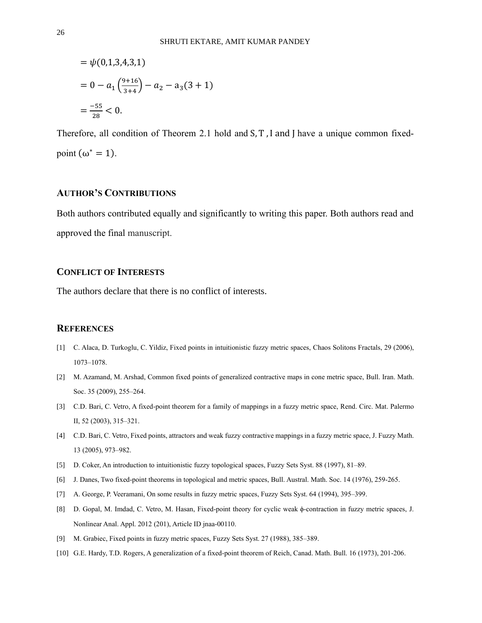$$
= \psi(0,1,3,4,3,1)
$$
  
= 0 - a<sub>1</sub>  $\left(\frac{9+16}{3+4}\right)$  - a<sub>2</sub> - a<sub>3</sub> (3 + 1)  
=  $\frac{-55}{28}$  < 0.

Therefore, all condition of Theorem 2.1 hold and S, T , I and J have a unique common fixedpoint  $(\omega^* = 1)$ .

## **AUTHOR'S CONTRIBUTIONS**

Both authors contributed equally and significantly to writing this paper. Both authors read and approved the final manuscript.

# **CONFLICT OF INTERESTS**

The authors declare that there is no conflict of interests.

#### **REFERENCES**

- [1] C. Alaca, D. Turkoglu, C. Yildiz, Fixed points in intuitionistic fuzzy metric spaces, Chaos Solitons Fractals, 29 (2006), 1073–1078.
- [2] M. Azamand, M. Arshad, Common fixed points of generalized contractive maps in cone metric space, Bull. Iran. Math. Soc. 35 (2009), 255-264.
- [3] C.D. Bari, C. Vetro, A fixed-point theorem for a family of mappings in a fuzzy metric space, Rend. Circ. Mat. Palermo II, 52 (2003), 315–321.
- [4] C.D. Bari, C. Vetro, Fixed points, attractors and weak fuzzy contractive mappings in a fuzzy metric space, J. Fuzzy Math. 13 (2005), 973–982.
- [5] D. Coker, An introduction to intuitionistic fuzzy topological spaces, Fuzzy Sets Syst. 88 (1997), 81–89.
- [6] J. Danes, Two fixed-point theorems in topological and metric spaces, Bull. Austral. Math. Soc. 14 (1976), 259-265.
- [7] A. George, P. Veeramani, On some results in fuzzy metric spaces, Fuzzy Sets Syst. 64 (1994), 395–399.
- [8] D. Gopal, M. Imdad, C. Vetro, M. Hasan, Fixed-point theory for cyclic weak ϕ-contraction in fuzzy metric spaces, J. Nonlinear Anal. Appl. 2012 (201), Article ID jnaa-00110.
- [9] M. Grabiec, Fixed points in fuzzy metric spaces, Fuzzy Sets Syst. 27 (1988), 385–389.
- [10] G.E. Hardy, T.D. Rogers, A generalization of a fixed-point theorem of Reich, Canad. Math. Bull. 16 (1973), 201-206.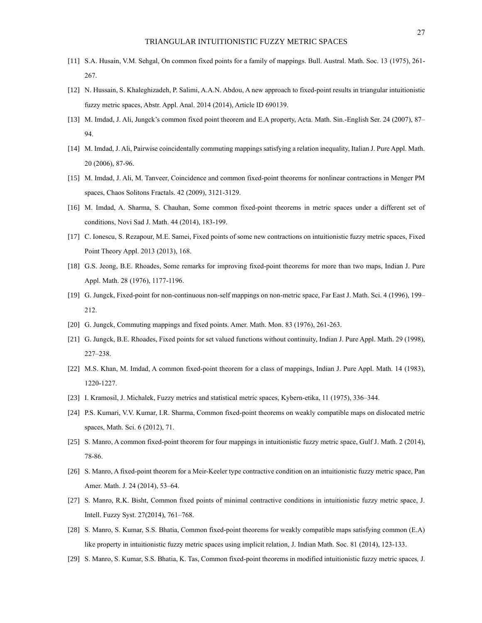- [11] S.A. Husain, V.M. Sehgal, On common fixed points for a family of mappings. Bull. Austral. Math. Soc. 13 (1975), 261- 267.
- [12] N. Hussain, S. Khaleghizadeh, P. Salimi, A.A.N. Abdou, A new approach to fixed-point results in triangular intuitionistic fuzzy metric spaces, Abstr. Appl. Anal. 2014 (2014), Article ID 690139.
- [13] M. Imdad, J. Ali, Jungck's common fixed point theorem and E.A property, Acta. Math. Sin.-English Ser. 24 (2007), 87– 94.
- [14] M. Imdad, J. Ali, Pairwise coincidentally commuting mappings satisfying a relation inequality, Italian J. Pure Appl. Math. 20 (2006), 87-96.
- [15] M. Imdad, J. Ali, M. Tanveer, Coincidence and common fixed-point theorems for nonlinear contractions in Menger PM spaces, Chaos Solitons Fractals. 42 (2009), 3121-3129.
- [16] M. Imdad, A. Sharma, S. Chauhan, Some common fixed-point theorems in metric spaces under a different set of conditions, Novi Sad J. Math. 44 (2014), 183-199.
- [17] C. Ionescu, S. Rezapour, M.E. Samei, Fixed points of some new contractions on intuitionistic fuzzy metric spaces, Fixed Point Theory Appl. 2013 (2013), 168.
- [18] G.S. Jeong, B.E. Rhoades, Some remarks for improving fixed-point theorems for more than two maps, Indian J. Pure Appl. Math. 28 (1976), 1177-1196.
- [19] G. Jungck, Fixed-point for non-continuous non-self mappings on non-metric space, Far East J. Math. Sci. 4 (1996), 199– 212.
- [20] G. Jungck, Commuting mappings and fixed points. Amer. Math. Mon. 83 (1976), 261-263.
- [21] G. Jungck, B.E. Rhoades, Fixed points for set valued functions without continuity, Indian J. Pure Appl. Math. 29 (1998), 227–238.
- [22] M.S. Khan, M. Imdad, A common fixed-point theorem for a class of mappings, Indian J. Pure Appl. Math. 14 (1983), 1220-1227.
- [23] I. Kramosil, J. Michalek, Fuzzy metrics and statistical metric spaces, Kybern-etika, 11 (1975), 336–344.
- [24] P.S. Kumari, V.V. Kumar, I.R. Sharma, Common fixed-point theorems on weakly compatible maps on dislocated metric spaces, Math. Sci. 6 (2012), 71.
- [25] S. Manro, A common fixed-point theorem for four mappings in intuitionistic fuzzy metric space, Gulf J. Math. 2 (2014), 78-86.
- [26] S. Manro, A fixed-point theorem for a Meir-Keeler type contractive condition on an intuitionistic fuzzy metric space, Pan Amer. Math. J. 24 (2014), 53–64.
- [27] S. Manro, R.K. Bisht, Common fixed points of minimal contractive conditions in intuitionistic fuzzy metric space, J. Intell. Fuzzy Syst. 27(2014), 761–768.
- [28] S. Manro, S. Kumar, S.S. Bhatia, Common fixed-point theorems for weakly compatible maps satisfying common (E.A) like property in intuitionistic fuzzy metric spaces using implicit relation, J. Indian Math. Soc. 81 (2014), 123-133.
- [29] S. Manro, S. Kumar, S.S. Bhatia, K. Tas, Common fixed-point theorems in modified intuitionistic fuzzy metric spaces*,* J.